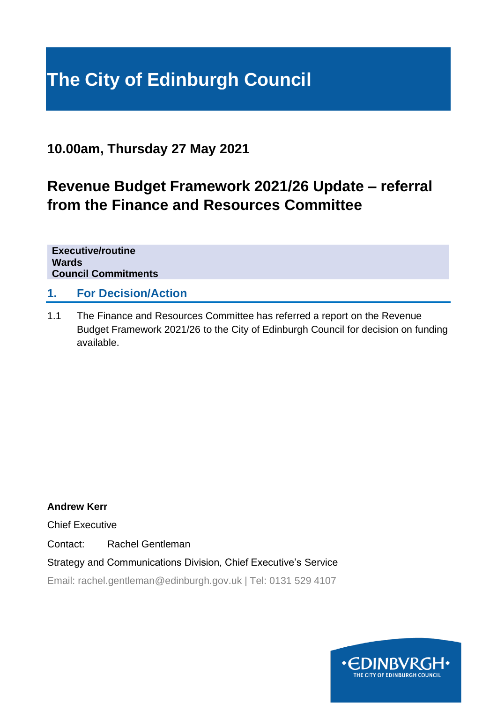# **The City of Edinburgh Council**

### **10.00am, Thursday 27 May 2021**

## **Revenue Budget Framework 2021/26 Update – referral from the Finance and Resources Committee**

**Executive/routine Wards Council Commitments**

#### **1. For Decision/Action**

1.1 The Finance and Resources Committee has referred a report on the Revenue Budget Framework 2021/26 to the City of Edinburgh Council for decision on funding available.

**Andrew Kerr**

Chief Executive

Contact: Rachel Gentleman

Strategy and Communications Division, Chief Executive's Service

Email: rachel.gentleman@edinburgh.gov.uk | Tel: 0131 529 4107

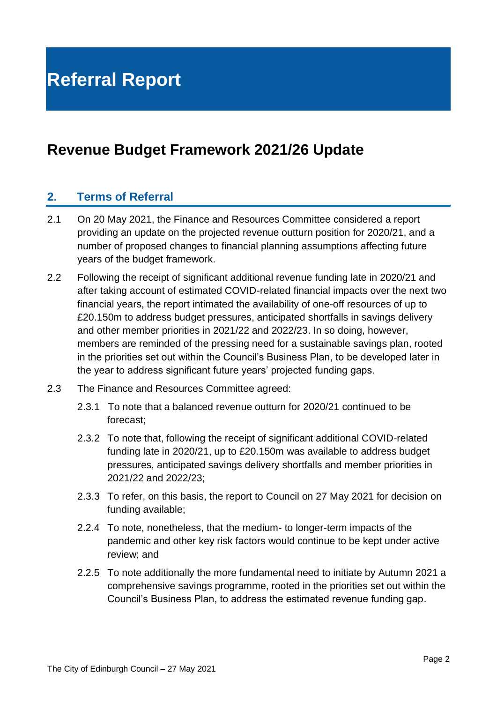## **Revenue Budget Framework 2021/26 Update**

#### **2. Terms of Referral**

- 2.1 On 20 May 2021, the Finance and Resources Committee considered a report providing an update on the projected revenue outturn position for 2020/21, and a number of proposed changes to financial planning assumptions affecting future years of the budget framework.
- 2.2 Following the receipt of significant additional revenue funding late in 2020/21 and after taking account of estimated COVID-related financial impacts over the next two financial years, the report intimated the availability of one-off resources of up to £20.150m to address budget pressures, anticipated shortfalls in savings delivery and other member priorities in 2021/22 and 2022/23. In so doing, however, members are reminded of the pressing need for a sustainable savings plan, rooted in the priorities set out within the Council's Business Plan, to be developed later in the year to address significant future years' projected funding gaps.
- 2.3 The Finance and Resources Committee agreed:
	- 2.3.1 To note that a balanced revenue outturn for 2020/21 continued to be forecast;
	- 2.3.2 To note that, following the receipt of significant additional COVID-related funding late in 2020/21, up to £20.150m was available to address budget pressures, anticipated savings delivery shortfalls and member priorities in 2021/22 and 2022/23;
	- 2.3.3 To refer, on this basis, the report to Council on 27 May 2021 for decision on funding available;
	- 2.2.4 To note, nonetheless, that the medium- to longer-term impacts of the pandemic and other key risk factors would continue to be kept under active review; and
	- 2.2.5 To note additionally the more fundamental need to initiate by Autumn 2021 a comprehensive savings programme, rooted in the priorities set out within the Council's Business Plan, to address the estimated revenue funding gap.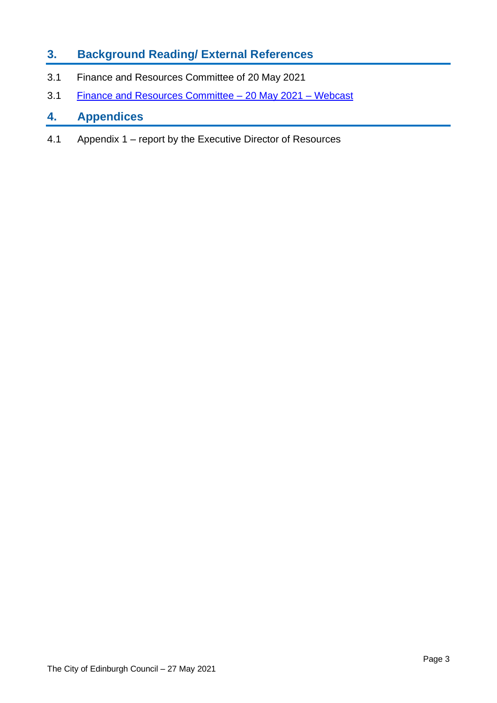#### **3. Background Reading/ External References**

- 3.1 Finance and Resources Committee of 20 May 2021
- 3.1 [Finance and Resources Committee –](https://edinburgh.public-i.tv/core/portal/webcast_interactive/567515) 20 May 2021 Webcast

#### **4. Appendices**

4.1 Appendix 1 – report by the Executive Director of Resources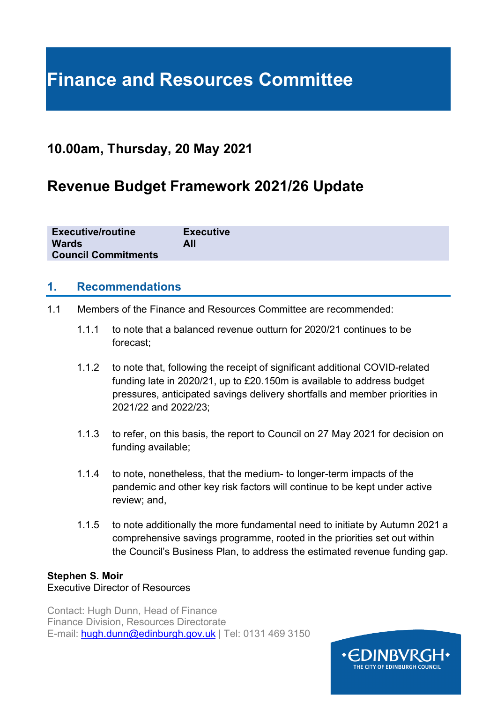# **Finance and Resources Committee**

### **10.00am, Thursday, 20 May 2021**

## **Revenue Budget Framework 2021/26 Update**

| <b>Executive/routine</b>   | <b>Executive</b> |
|----------------------------|------------------|
| <b>Wards</b>               | All              |
| <b>Council Commitments</b> |                  |

#### **1. Recommendations**

- 1.1 Members of the Finance and Resources Committee are recommended:
	- 1.1.1 to note that a balanced revenue outturn for 2020/21 continues to be forecast;
	- 1.1.2 to note that, following the receipt of significant additional COVID-related funding late in 2020/21, up to £20.150m is available to address budget pressures, anticipated savings delivery shortfalls and member priorities in 2021/22 and 2022/23;
	- 1.1.3 to refer, on this basis, the report to Council on 27 May 2021 for decision on funding available;
	- 1.1.4 to note, nonetheless, that the medium- to longer-term impacts of the pandemic and other key risk factors will continue to be kept under active review; and,
	- 1.1.5 to note additionally the more fundamental need to initiate by Autumn 2021 a comprehensive savings programme, rooted in the priorities set out within the Council's Business Plan, to address the estimated revenue funding gap.

#### **Stephen S. Moir**

#### Executive Director of Resources

Contact: Hugh Dunn, Head of Finance Finance Division, Resources Directorate E-mail: [hugh.dunn@edinburgh.gov.uk](mailto:hugh.dunn@edinburgh.gov.uk) | Tel: 0131 469 3150

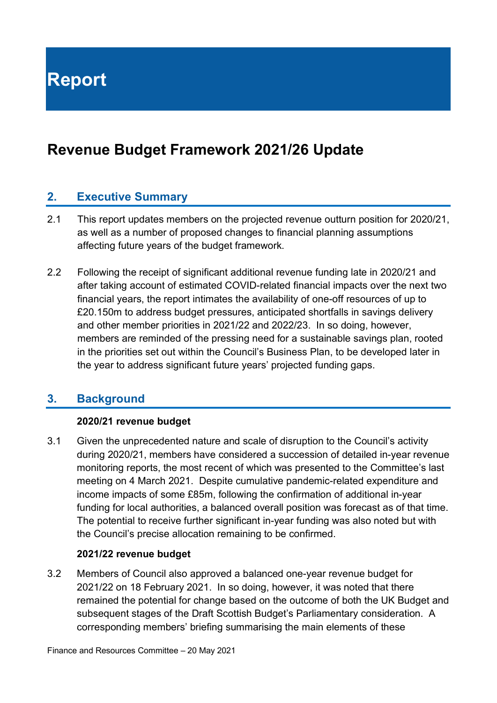**Report**

## **Revenue Budget Framework 2021/26 Update**

#### **2. Executive Summary**

- 2.1 This report updates members on the projected revenue outturn position for 2020/21, as well as a number of proposed changes to financial planning assumptions affecting future years of the budget framework.
- 2.2 Following the receipt of significant additional revenue funding late in 2020/21 and after taking account of estimated COVID-related financial impacts over the next two financial years, the report intimates the availability of one-off resources of up to £20.150m to address budget pressures, anticipated shortfalls in savings delivery and other member priorities in 2021/22 and 2022/23. In so doing, however, members are reminded of the pressing need for a sustainable savings plan, rooted in the priorities set out within the Council's Business Plan, to be developed later in the year to address significant future years' projected funding gaps.

#### **3. Background**

#### **2020/21 revenue budget**

3.1 Given the unprecedented nature and scale of disruption to the Council's activity during 2020/21, members have considered a succession of detailed in-year revenue monitoring reports, the most recent of which was presented to the Committee's last meeting on 4 March 2021. Despite cumulative pandemic-related expenditure and income impacts of some £85m, following the confirmation of additional in-year funding for local authorities, a balanced overall position was forecast as of that time. The potential to receive further significant in-year funding was also noted but with the Council's precise allocation remaining to be confirmed.

#### **2021/22 revenue budget**

3.2 Members of Council also approved a balanced one-year revenue budget for 2021/22 on 18 February 2021. In so doing, however, it was noted that there remained the potential for change based on the outcome of both the UK Budget and subsequent stages of the Draft Scottish Budget's Parliamentary consideration. A corresponding members' briefing summarising the main elements of these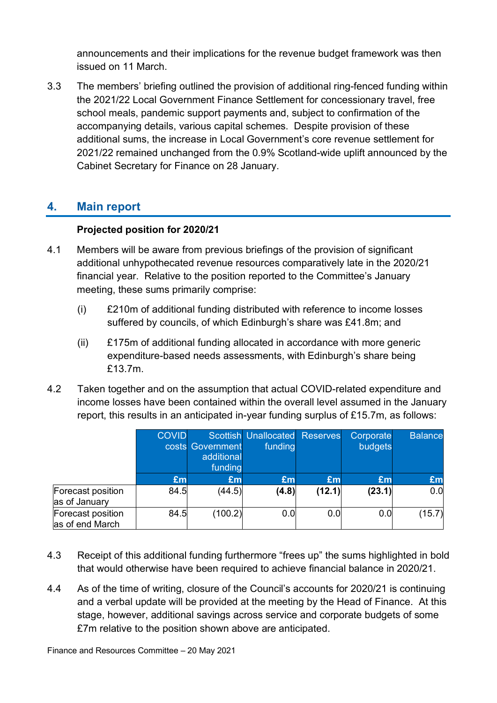announcements and their implications for the revenue budget framework was then issued on 11 March.

3.3 The members' briefing outlined the provision of additional ring-fenced funding within the 2021/22 Local Government Finance Settlement for concessionary travel, free school meals, pandemic support payments and, subject to confirmation of the accompanying details, various capital schemes. Despite provision of these additional sums, the increase in Local Government's core revenue settlement for 2021/22 remained unchanged from the 0.9% Scotland-wide uplift announced by the Cabinet Secretary for Finance on 28 January.

#### **4. Main report**

#### **Projected position for 2020/21**

- 4.1 Members will be aware from previous briefings of the provision of significant additional unhypothecated revenue resources comparatively late in the 2020/21 financial year. Relative to the position reported to the Committee's January meeting, these sums primarily comprise:
	- (i) £210m of additional funding distributed with reference to income losses suffered by councils, of which Edinburgh's share was £41.8m; and
	- (ii) £175m of additional funding allocated in accordance with more generic expenditure-based needs assessments, with Edinburgh's share being £13.7m.
- 4.2 Taken together and on the assumption that actual COVID-related expenditure and income losses have been contained within the overall level assumed in the January report, this results in an anticipated in-year funding surplus of £15.7m, as follows:

|                                      | <b>COVID</b> | costs Government<br>additional<br>funding | <b>Scottish Unallocated Reserves</b><br>funding |        | Corporate<br>budgets | <b>Balance</b> |
|--------------------------------------|--------------|-------------------------------------------|-------------------------------------------------|--------|----------------------|----------------|
|                                      | £m           | £m                                        | £m                                              | £m     | £m                   | £m             |
| Forecast position<br>as of January   | 84.5         | (44.5)                                    | (4.8)                                           | (12.1) | (23.1)               | 0.0            |
| Forecast position<br>as of end March | 84.5         | (100.2)                                   | 0.0                                             | 0.0    | 0.0                  | (15.7)         |

- 4.3 Receipt of this additional funding furthermore "frees up" the sums highlighted in bold that would otherwise have been required to achieve financial balance in 2020/21.
- 4.4 As of the time of writing, closure of the Council's accounts for 2020/21 is continuing and a verbal update will be provided at the meeting by the Head of Finance. At this stage, however, additional savings across service and corporate budgets of some £7m relative to the position shown above are anticipated.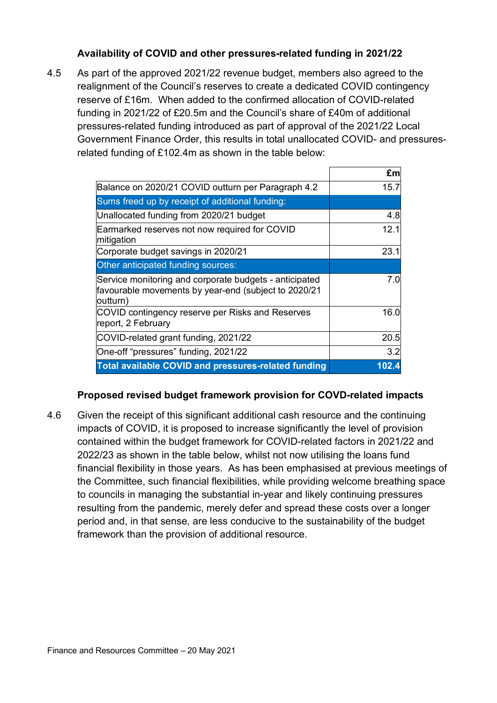#### **Availability of COVID and other pressures-related funding in 2021/22**

4.5 As part of the approved 2021/22 revenue budget, members also agreed to the realignment of the Council's reserves to create a dedicated COVID contingency reserve of £16m. When added to the confirmed allocation of COVID-related funding in 2021/22 of £20.5m and the Council's share of £40m of additional pressures-related funding introduced as part of approval of the 2021/22 Local Government Finance Order, this results in total unallocated COVID- and pressuresrelated funding of £102.4m as shown in the table below:

|                                                                                                                            | £m    |
|----------------------------------------------------------------------------------------------------------------------------|-------|
| Balance on 2020/21 COVID outturn per Paragraph 4.2                                                                         | 15.7  |
| Sums freed up by receipt of additional funding:                                                                            |       |
| Unallocated funding from 2020/21 budget                                                                                    | 4.8   |
| Earmarked reserves not now required for COVID<br>mitigation                                                                | 12.1  |
| Corporate budget savings in 2020/21                                                                                        | 23.1  |
| Other anticipated funding sources:                                                                                         |       |
| Service monitoring and corporate budgets - anticipated<br>favourable movements by year-end (subject to 2020/21<br>outturn) | 7.0   |
| COVID contingency reserve per Risks and Reserves<br>report, 2 February                                                     | 16.0  |
| COVID-related grant funding, 2021/22                                                                                       | 20.5  |
| One-off "pressures" funding, 2021/22                                                                                       | 3.2   |
| <b>Total available COVID and pressures-related funding</b>                                                                 | 102.4 |

#### **Proposed revised budget framework provision for COVD-related impacts**

4.6 Given the receipt of this significant additional cash resource and the continuing impacts of COVID, it is proposed to increase significantly the level of provision contained within the budget framework for COVID-related factors in 2021/22 and 2022/23 as shown in the table below, whilst not now utilising the loans fund financial flexibility in those years. As has been emphasised at previous meetings of the Committee, such financial flexibilities, while providing welcome breathing space to councils in managing the substantial in-year and likely continuing pressures resulting from the pandemic, merely defer and spread these costs over a longer period and, in that sense, are less conducive to the sustainability of the budget framework than the provision of additional resource.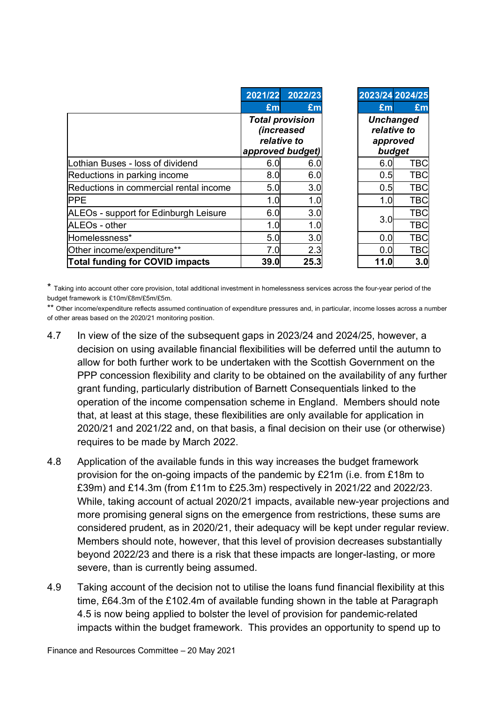|                                        | 2021/22          | 2022/23                                                    | 2023/24 2024/25                             |            |
|----------------------------------------|------------------|------------------------------------------------------------|---------------------------------------------|------------|
|                                        | £m               | £m                                                         | £m                                          | £m         |
|                                        | approved budget) | <b>Total provision</b><br><i>(increased</i><br>relative to | <b>Unchanged</b><br>relative to<br>approved | budget     |
| Lothian Buses - loss of dividend       | 6.0              | 6.0                                                        | 6.0                                         | <b>TBC</b> |
| Reductions in parking income           | 8.0              | 6.0                                                        | 0.5                                         | <b>TBC</b> |
| Reductions in commercial rental income | 5.0              | 3.0                                                        | 0.5                                         | <b>TBC</b> |
| <b>PPE</b>                             | 1.0              | 1.0                                                        | 1.0                                         | <b>TBC</b> |
| ALEOs - support for Edinburgh Leisure  | 6.0              | 3.0                                                        |                                             | <b>TBC</b> |
| ALEOs - other                          | 1.0              | 1.0                                                        | 3.0                                         | <b>TBC</b> |
| Homelessness*                          | 5.0              | 3.0                                                        | 0.0                                         | <b>TBC</b> |
| Other income/expenditure**             | 7.0              | 2.3                                                        | 0.0                                         | <b>TBC</b> |
| <b>Total funding for COVID impacts</b> | 39.0             | 25.3                                                       | 11.0                                        | 3.0        |

\* Taking into account other core provision, total additional investment in homelessness services across the four-year period of the budget framework is £10m/£8m/£5m/£5m.

\*\* Other income/expenditure reflects assumed continuation of expenditure pressures and, in particular, income losses across a number of other areas based on the 2020/21 monitoring position.

- 4.7 In view of the size of the subsequent gaps in 2023/24 and 2024/25, however, a decision on using available financial flexibilities will be deferred until the autumn to allow for both further work to be undertaken with the Scottish Government on the PPP concession flexibility and clarity to be obtained on the availability of any further grant funding, particularly distribution of Barnett Consequentials linked to the operation of the income compensation scheme in England. Members should note that, at least at this stage, these flexibilities are only available for application in 2020/21 and 2021/22 and, on that basis, a final decision on their use (or otherwise) requires to be made by March 2022.
- 4.8 Application of the available funds in this way increases the budget framework provision for the on-going impacts of the pandemic by £21m (i.e. from £18m to £39m) and £14.3m (from £11m to £25.3m) respectively in 2021/22 and 2022/23. While, taking account of actual 2020/21 impacts, available new-year projections and more promising general signs on the emergence from restrictions, these sums are considered prudent, as in 2020/21, their adequacy will be kept under regular review. Members should note, however, that this level of provision decreases substantially beyond 2022/23 and there is a risk that these impacts are longer-lasting, or more severe, than is currently being assumed.
- 4.9 Taking account of the decision not to utilise the loans fund financial flexibility at this time, £64.3m of the £102.4m of available funding shown in the table at Paragraph 4.5 is now being applied to bolster the level of provision for pandemic-related impacts within the budget framework. This provides an opportunity to spend up to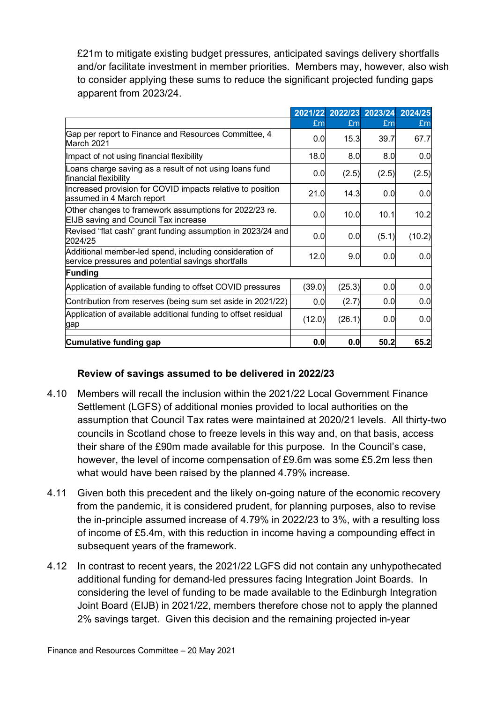£21m to mitigate existing budget pressures, anticipated savings delivery shortfalls and/or facilitate investment in member priorities. Members may, however, also wish to consider applying these sums to reduce the significant projected funding gaps apparent from 2023/24.

|                                                                                                               |        |        | 2021/22 2022/23 2023/24 2024/25 |        |
|---------------------------------------------------------------------------------------------------------------|--------|--------|---------------------------------|--------|
|                                                                                                               | £m     | £m     | £m                              | £m     |
| Gap per report to Finance and Resources Committee, 4<br>March 2021                                            | 0.0    | 15.3   | 39.7                            | 67.7   |
| Impact of not using financial flexibility                                                                     | 18.0   | 8.0    | 8.0                             | 0.0    |
| Loans charge saving as a result of not using loans fund<br>financial flexibility                              | 0.0    | (2.5)  | (2.5)                           | (2.5)  |
| Increased provision for COVID impacts relative to position<br>assumed in 4 March report                       | 21.0   | 14.3   | 0.0                             | 0.0    |
| Other changes to framework assumptions for 2022/23 re.<br><b>EIJB</b> saving and Council Tax increase         | 0.0    | 10.0   | 10.1                            | 10.2   |
| Revised "flat cash" grant funding assumption in 2023/24 and<br>2024/25                                        | 0.0    | 0.0    | (5.1)                           | (10.2) |
| Additional member-led spend, including consideration of<br>service pressures and potential savings shortfalls | 12.0   | 9.0    | 0.0                             | 0.0    |
| <b>Funding</b>                                                                                                |        |        |                                 |        |
| Application of available funding to offset COVID pressures                                                    | (39.0) | (25.3) | 0.0                             | 0.0    |
| Contribution from reserves (being sum set aside in 2021/22)                                                   | 0.0    | (2.7)  | 0.0                             | 0.0    |
| Application of available additional funding to offset residual<br>gap                                         | (12.0) | (26.1) | 0.0                             | 0.0    |
| Cumulative funding gap                                                                                        | 0.0    | 0.0    | 50.2                            | 65.2   |

#### **Review of savings assumed to be delivered in 2022/23**

- 4.10 Members will recall the inclusion within the 2021/22 Local Government Finance Settlement (LGFS) of additional monies provided to local authorities on the assumption that Council Tax rates were maintained at 2020/21 levels. All thirty-two councils in Scotland chose to freeze levels in this way and, on that basis, access their share of the £90m made available for this purpose. In the Council's case, however, the level of income compensation of £9.6m was some £5.2m less then what would have been raised by the planned 4.79% increase.
- 4.11 Given both this precedent and the likely on-going nature of the economic recovery from the pandemic, it is considered prudent, for planning purposes, also to revise the in-principle assumed increase of 4.79% in 2022/23 to 3%, with a resulting loss of income of £5.4m, with this reduction in income having a compounding effect in subsequent years of the framework.
- 4.12 In contrast to recent years, the 2021/22 LGFS did not contain any unhypothecated additional funding for demand-led pressures facing Integration Joint Boards. In considering the level of funding to be made available to the Edinburgh Integration Joint Board (EIJB) in 2021/22, members therefore chose not to apply the planned 2% savings target. Given this decision and the remaining projected in-year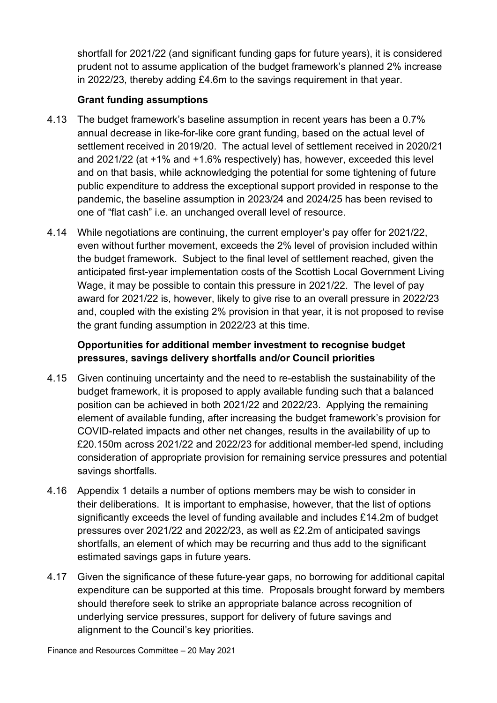shortfall for 2021/22 (and significant funding gaps for future years), it is considered prudent not to assume application of the budget framework's planned 2% increase in 2022/23, thereby adding £4.6m to the savings requirement in that year.

#### **Grant funding assumptions**

- 4.13 The budget framework's baseline assumption in recent years has been a 0.7% annual decrease in like-for-like core grant funding, based on the actual level of settlement received in 2019/20. The actual level of settlement received in 2020/21 and 2021/22 (at +1% and +1.6% respectively) has, however, exceeded this level and on that basis, while acknowledging the potential for some tightening of future public expenditure to address the exceptional support provided in response to the pandemic, the baseline assumption in 2023/24 and 2024/25 has been revised to one of "flat cash" i.e. an unchanged overall level of resource.
- 4.14 While negotiations are continuing, the current employer's pay offer for 2021/22, even without further movement, exceeds the 2% level of provision included within the budget framework. Subject to the final level of settlement reached, given the anticipated first-year implementation costs of the Scottish Local Government Living Wage, it may be possible to contain this pressure in 2021/22. The level of pay award for 2021/22 is, however, likely to give rise to an overall pressure in 2022/23 and, coupled with the existing 2% provision in that year, it is not proposed to revise the grant funding assumption in 2022/23 at this time.

#### **Opportunities for additional member investment to recognise budget pressures, savings delivery shortfalls and/or Council priorities**

- 4.15 Given continuing uncertainty and the need to re-establish the sustainability of the budget framework, it is proposed to apply available funding such that a balanced position can be achieved in both 2021/22 and 2022/23. Applying the remaining element of available funding, after increasing the budget framework's provision for COVID-related impacts and other net changes, results in the availability of up to £20.150m across 2021/22 and 2022/23 for additional member-led spend, including consideration of appropriate provision for remaining service pressures and potential savings shortfalls.
- 4.16 Appendix 1 details a number of options members may be wish to consider in their deliberations. It is important to emphasise, however, that the list of options significantly exceeds the level of funding available and includes £14.2m of budget pressures over 2021/22 and 2022/23, as well as £2.2m of anticipated savings shortfalls, an element of which may be recurring and thus add to the significant estimated savings gaps in future years.
- 4.17 Given the significance of these future-year gaps, no borrowing for additional capital expenditure can be supported at this time. Proposals brought forward by members should therefore seek to strike an appropriate balance across recognition of underlying service pressures, support for delivery of future savings and alignment to the Council's key priorities.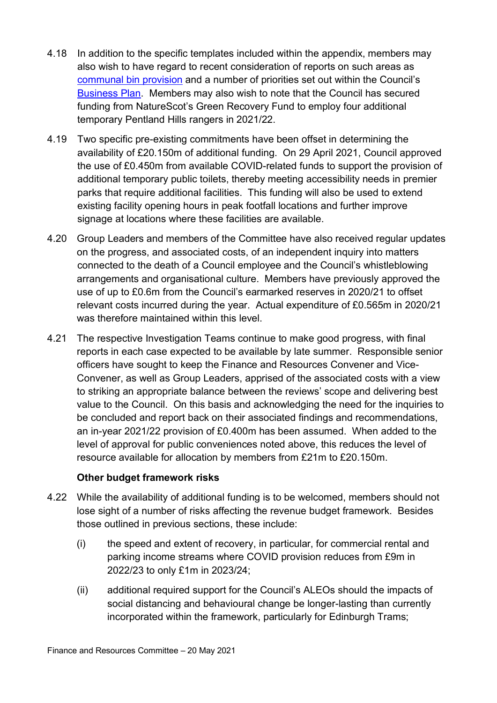- 4.18 In addition to the specific templates included within the appendix, members may also wish to have regard to recent consideration of reports on such areas as [communal bin provision](https://democracy.edinburgh.gov.uk/documents/s33318/7.7%20-%20Communal%20Bin%20Review%20Update.pdf) and a number of priorities set out within the Council's [Business Plan.](https://www.edinburgh.gov.uk/downloads/file/28919/our-future-council-our-future-city) Members may also wish to note that the Council has secured funding from NatureScot's Green Recovery Fund to employ four additional temporary Pentland Hills rangers in 2021/22.
- 4.19 Two specific pre-existing commitments have been offset in determining the availability of £20.150m of additional funding. On 29 April 2021, Council approved the use of £0.450m from available COVID-related funds to support the provision of additional temporary public toilets, thereby meeting accessibility needs in premier parks that require additional facilities. This funding will also be used to extend existing facility opening hours in peak footfall locations and further improve signage at locations where these facilities are available.
- 4.20 Group Leaders and members of the Committee have also received regular updates on the progress, and associated costs, of an independent inquiry into matters connected to the death of a Council employee and the Council's whistleblowing arrangements and organisational culture. Members have previously approved the use of up to £0.6m from the Council's earmarked reserves in 2020/21 to offset relevant costs incurred during the year. Actual expenditure of £0.565m in 2020/21 was therefore maintained within this level.
- 4.21 The respective Investigation Teams continue to make good progress, with final reports in each case expected to be available by late summer. Responsible senior officers have sought to keep the Finance and Resources Convener and Vice-Convener, as well as Group Leaders, apprised of the associated costs with a view to striking an appropriate balance between the reviews' scope and delivering best value to the Council. On this basis and acknowledging the need for the inquiries to be concluded and report back on their associated findings and recommendations, an in-year 2021/22 provision of £0.400m has been assumed. When added to the level of approval for public conveniences noted above, this reduces the level of resource available for allocation by members from £21m to £20.150m.

#### **Other budget framework risks**

- 4.22 While the availability of additional funding is to be welcomed, members should not lose sight of a number of risks affecting the revenue budget framework. Besides those outlined in previous sections, these include:
	- (i) the speed and extent of recovery, in particular, for commercial rental and parking income streams where COVID provision reduces from £9m in 2022/23 to only £1m in 2023/24;
	- (ii) additional required support for the Council's ALEOs should the impacts of social distancing and behavioural change be longer-lasting than currently incorporated within the framework, particularly for Edinburgh Trams;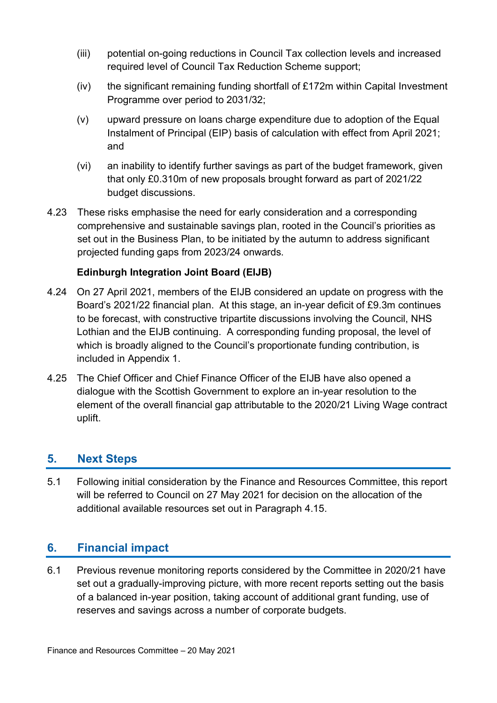- (iii) potential on-going reductions in Council Tax collection levels and increased required level of Council Tax Reduction Scheme support;
- (iv) the significant remaining funding shortfall of £172m within Capital Investment Programme over period to 2031/32;
- (v) upward pressure on loans charge expenditure due to adoption of the Equal Instalment of Principal (EIP) basis of calculation with effect from April 2021; and
- (vi) an inability to identify further savings as part of the budget framework, given that only £0.310m of new proposals brought forward as part of 2021/22 budget discussions.
- 4.23 These risks emphasise the need for early consideration and a corresponding comprehensive and sustainable savings plan, rooted in the Council's priorities as set out in the Business Plan, to be initiated by the autumn to address significant projected funding gaps from 2023/24 onwards.

#### **Edinburgh Integration Joint Board (EIJB)**

- 4.24 On 27 April 2021, members of the EIJB considered an update on progress with the Board's 2021/22 financial plan. At this stage, an in-year deficit of £9.3m continues to be forecast, with constructive tripartite discussions involving the Council, NHS Lothian and the EIJB continuing. A corresponding funding proposal, the level of which is broadly aligned to the Council's proportionate funding contribution, is included in Appendix 1.
- 4.25 The Chief Officer and Chief Finance Officer of the EIJB have also opened a dialogue with the Scottish Government to explore an in-year resolution to the element of the overall financial gap attributable to the 2020/21 Living Wage contract uplift.

#### **5. Next Steps**

5.1 Following initial consideration by the Finance and Resources Committee, this report will be referred to Council on 27 May 2021 for decision on the allocation of the additional available resources set out in Paragraph 4.15.

#### **6. Financial impact**

6.1 Previous revenue monitoring reports considered by the Committee in 2020/21 have set out a gradually-improving picture, with more recent reports setting out the basis of a balanced in-year position, taking account of additional grant funding, use of reserves and savings across a number of corporate budgets.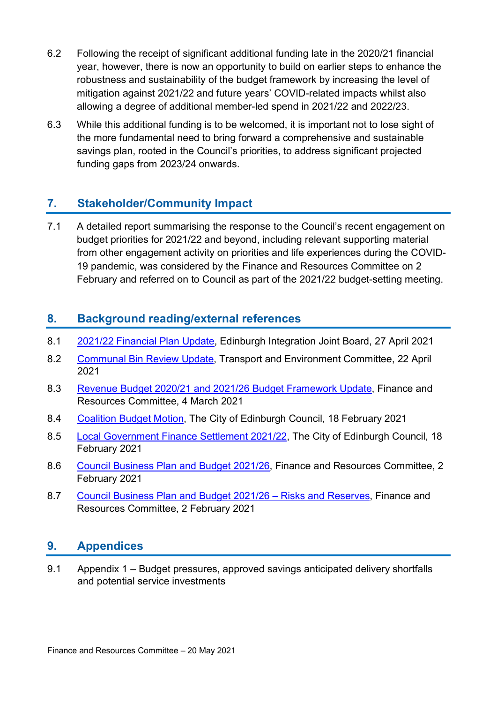- 6.2 Following the receipt of significant additional funding late in the 2020/21 financial year, however, there is now an opportunity to build on earlier steps to enhance the robustness and sustainability of the budget framework by increasing the level of mitigation against 2021/22 and future years' COVID-related impacts whilst also allowing a degree of additional member-led spend in 2021/22 and 2022/23.
- 6.3 While this additional funding is to be welcomed, it is important not to lose sight of the more fundamental need to bring forward a comprehensive and sustainable savings plan, rooted in the Council's priorities, to address significant projected funding gaps from 2023/24 onwards.

#### **7. Stakeholder/Community Impact**

7.1 A detailed report summarising the response to the Council's recent engagement on budget priorities for 2021/22 and beyond, including relevant supporting material from other engagement activity on priorities and life experiences during the COVID-19 pandemic, was considered by the Finance and Resources Committee on 2 February and referred on to Council as part of the 2021/22 budget-setting meeting.

#### **8. Background reading/external references**

- 8.1 [2021/22 Financial Plan Update,](https://democracy.edinburgh.gov.uk/documents/s33360/6.1%202021-2022%20Financial%20Plan%20Update.pdf) Edinburgh Integration Joint Board, 27 April 2021
- 8.2 [Communal Bin Review Update,](https://democracy.edinburgh.gov.uk/documents/s33318/7.7%20-%20Communal%20Bin%20Review%20Update.pdf) Transport and Environment Committee, 22 April 2021
- 8.3 [Revenue Budget 2020/21 and 2021/26 Budget Framework Update,](https://democracy.edinburgh.gov.uk/documents/s32043/7.3%20-%20Revenue%20Budget%20202021%20and%202021-26%20Budget%20Framework%20Update.pdf) Finance and Resources Committee, 4 March 2021
- 8.4 [Coalition Budget Motion,](https://democracy.edinburgh.gov.uk/documents/s31642/Coalition%20Budget%20Motion%202021-22.pdf) The City of Edinburgh Council, 18 February 2021
- 8.5 [Local Government Finance Settlement 2021/22,](https://democracy.edinburgh.gov.uk/documents/s31431/Item%204.1b%20-%20Local%20Government%20Finance%20Settlement%202021-22.pdf) The City of Edinburgh Council, 18 February 2021
- 8.6 [Council Business Plan and Budget 2021/26,](https://democracy.edinburgh.gov.uk/documents/s30981/7.1%20-%20Council%20Business%20Plan%20and%20Budget%202021-26.pdf) Finance and Resources Committee, 2 February 2021
- 8.7 [Council Business Plan and Budget 2021/26 –](https://democracy.edinburgh.gov.uk/documents/s30975/7.2%20-%20Council%20Business%20Plan%20and%20Budget%202021-26%20-%20Risks%20and%20Reserves.pdf) Risks and Reserves, Finance and Resources Committee, 2 February 2021

#### **9. Appendices**

9.1 Appendix 1 – Budget pressures, approved savings anticipated delivery shortfalls and potential service investments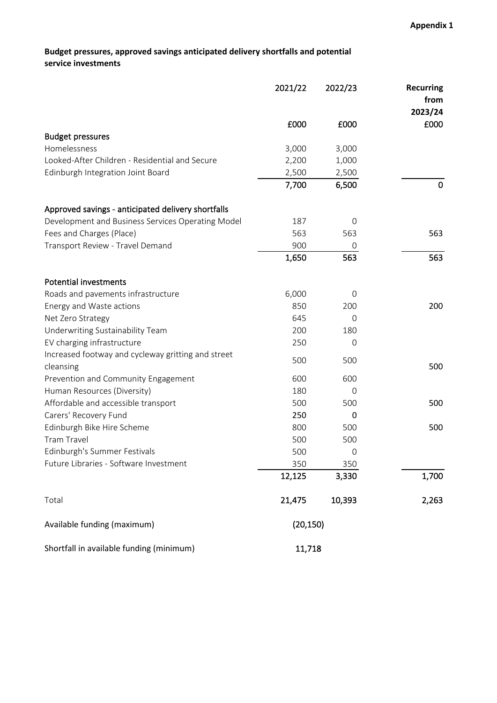#### **Budget pressures, approved savings anticipated delivery shortfalls and potential service investments**

|                                                    | 2021/22   | 2022/23       | <b>Recurring</b><br>from |
|----------------------------------------------------|-----------|---------------|--------------------------|
|                                                    |           |               | 2023/24                  |
|                                                    | £000      | £000          | £000                     |
| <b>Budget pressures</b>                            |           |               |                          |
| Homelessness                                       | 3,000     | 3,000         |                          |
| Looked-After Children - Residential and Secure     | 2,200     | 1,000         |                          |
| Edinburgh Integration Joint Board                  | 2,500     | 2,500         |                          |
|                                                    | 7,700     | 6,500         | 0                        |
| Approved savings - anticipated delivery shortfalls |           |               |                          |
| Development and Business Services Operating Model  | 187       | $\Omega$      |                          |
| Fees and Charges (Place)                           | 563       | 563           | 563                      |
| Transport Review - Travel Demand                   | 900       | 0             |                          |
|                                                    | 1,650     | 563           | 563                      |
| <b>Potential investments</b>                       |           |               |                          |
| Roads and pavements infrastructure                 | 6,000     | 0             |                          |
| Energy and Waste actions                           | 850       | 200           | 200                      |
| Net Zero Strategy                                  | 645       | $\Omega$      |                          |
| Underwriting Sustainability Team                   | 200       | 180           |                          |
| EV charging infrastructure                         | 250       | $\mathcal{O}$ |                          |
| Increased footway and cycleway gritting and street | 500       | 500           |                          |
| cleansing                                          |           |               | 500                      |
| Prevention and Community Engagement                | 600       | 600           |                          |
| Human Resources (Diversity)                        | 180       | 0             |                          |
| Affordable and accessible transport                | 500       | 500           | 500                      |
| Carers' Recovery Fund                              | 250       | 0             |                          |
| Edinburgh Bike Hire Scheme                         | 800       | 500           | 500                      |
| <b>Tram Travel</b>                                 | 500       | 500           |                          |
| Edinburgh's Summer Festivals                       | 500       | $\mathbf 0$   |                          |
| Future Libraries - Software Investment             | 350       | 350           |                          |
|                                                    | 12,125    | 3,330         | 1,700                    |
| Total                                              | 21,475    | 10,393        | 2,263                    |
| Available funding (maximum)                        | (20, 150) |               |                          |
| Shortfall in available funding (minimum)           | 11,718    |               |                          |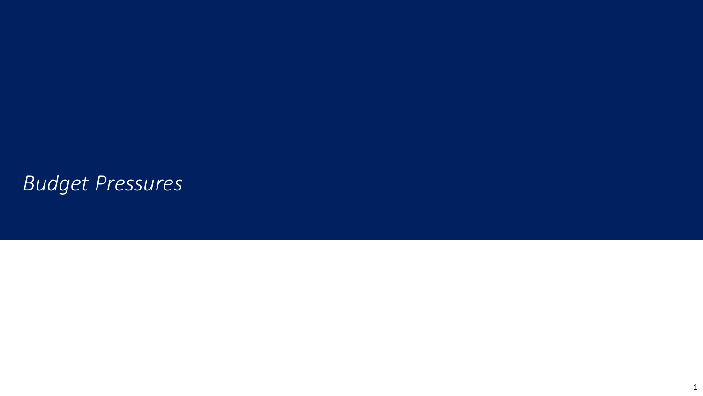# *Budget Pressures*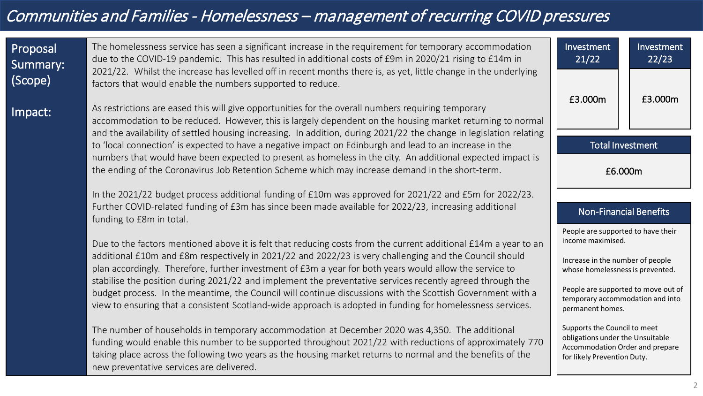# Communities and Families - Homelessness – management of recurring COVID pressures

 $\vert$  Imp

| Proposal<br>Summary:<br>(Scope) | The homelessness service has seen a significant increase in the requirement for temporary accommodation<br>due to the COVID-19 pandemic. This has resulted in additional costs of £9m in 2020/21 rising to £14m in<br>2021/22. Whilst the increase has levelled off in recent months there is, as yet, little change in the underlying<br>factors that would enable the numbers supported to reduce. | Investment<br>21/22                                                                                                                | Investment<br>22/23                |
|---------------------------------|------------------------------------------------------------------------------------------------------------------------------------------------------------------------------------------------------------------------------------------------------------------------------------------------------------------------------------------------------------------------------------------------------|------------------------------------------------------------------------------------------------------------------------------------|------------------------------------|
| Impact:                         | As restrictions are eased this will give opportunities for the overall numbers requiring temporary<br>accommodation to be reduced. However, this is largely dependent on the housing market returning to normal                                                                                                                                                                                      | £3.000m                                                                                                                            | £3.000m                            |
|                                 | and the availability of settled housing increasing. In addition, during 2021/22 the change in legislation relating<br>to 'local connection' is expected to have a negative impact on Edinburgh and lead to an increase in the<br>numbers that would have been expected to present as homeless in the city. An additional expected impact is                                                          | <b>Total Investment</b>                                                                                                            |                                    |
|                                 | £6.000m                                                                                                                                                                                                                                                                                                                                                                                              |                                                                                                                                    |                                    |
|                                 | In the 2021/22 budget process additional funding of £10m was approved for 2021/22 and £5m for 2022/23.<br>Further COVID-related funding of £3m has since been made available for 2022/23, increasing additional<br>funding to £8m in total.                                                                                                                                                          | <b>Non-Financial Benefits</b>                                                                                                      |                                    |
|                                 | Due to the factors mentioned above it is felt that reducing costs from the current additional £14m a year to an                                                                                                                                                                                                                                                                                      |                                                                                                                                    | People are supported to have their |
|                                 | additional £10m and £8m respectively in 2021/22 and 2022/23 is very challenging and the Council should<br>plan accordingly. Therefore, further investment of £3m a year for both years would allow the service to                                                                                                                                                                                    | Increase in the number of people<br>whose homelessness is prevented.                                                               |                                    |
|                                 | stabilise the position during 2021/22 and implement the preventative services recently agreed through the<br>budget process. In the meantime, the Council will continue discussions with the Scottish Government with a<br>view to ensuring that a consistent Scotland-wide approach is adopted in funding for homelessness services.                                                                | People are supported to move out of<br>temporary accommodation and into<br>permanent homes.                                        |                                    |
|                                 | The number of households in temporary accommodation at December 2020 was 4,350. The additional<br>funding would enable this number to be supported throughout 2021/22 with reductions of approximately 770<br>taking place across the following two years as the housing market returns to normal and the benefits of the<br>new preventative services are delivered.                                | Supports the Council to meet<br>obligations under the Unsuitable<br>Accommodation Order and prepare<br>for likely Prevention Duty. |                                    |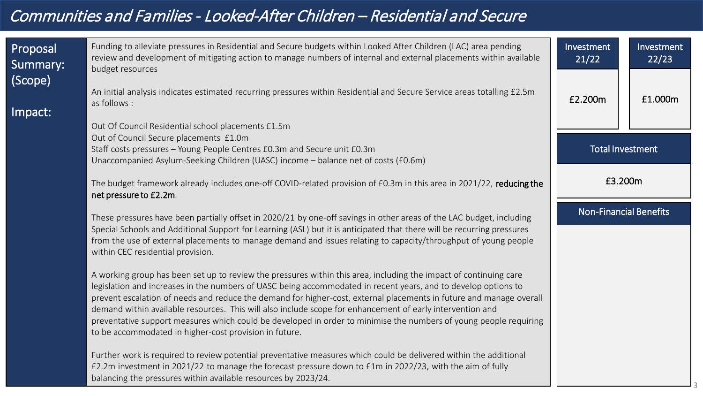# Communities and Families - Looked-After Children – Residential and Secure

| Proposal<br>Summary:<br>$ $ (Scope) | Funding to alleviate pressures in Residential and Secure budgets within Looked After Children (LAC) area pending<br>review and development of mitigating action to manage numbers of internal and external placements within available<br>budget resources                                                                                                                                                                                                              | Investment<br>21/22           | Investment<br>22/23 |
|-------------------------------------|-------------------------------------------------------------------------------------------------------------------------------------------------------------------------------------------------------------------------------------------------------------------------------------------------------------------------------------------------------------------------------------------------------------------------------------------------------------------------|-------------------------------|---------------------|
| Impact:                             | An initial analysis indicates estimated recurring pressures within Residential and Secure Service areas totalling £2.5m<br>as follows :                                                                                                                                                                                                                                                                                                                                 | £2.200m                       | £1.000m             |
|                                     | Out Of Council Residential school placements £1.5m                                                                                                                                                                                                                                                                                                                                                                                                                      |                               |                     |
|                                     | Out of Council Secure placements £1.0m                                                                                                                                                                                                                                                                                                                                                                                                                                  |                               |                     |
|                                     | Staff costs pressures - Young People Centres £0.3m and Secure unit £0.3m                                                                                                                                                                                                                                                                                                                                                                                                | <b>Total Investment</b>       |                     |
|                                     | Unaccompanied Asylum-Seeking Children (UASC) income - balance net of costs (£0.6m)                                                                                                                                                                                                                                                                                                                                                                                      |                               |                     |
|                                     | The budget framework already includes one-off COVID-related provision of £0.3m in this area in 2021/22, reducing the<br>net pressure to £2.2m.                                                                                                                                                                                                                                                                                                                          | £3.200m                       |                     |
|                                     | These pressures have been partially offset in 2020/21 by one-off savings in other areas of the LAC budget, including                                                                                                                                                                                                                                                                                                                                                    | <b>Non-Financial Benefits</b> |                     |
|                                     | Special Schools and Additional Support for Learning (ASL) but it is anticipated that there will be recurring pressures<br>from the use of external placements to manage demand and issues relating to capacity/throughput of young people<br>within CEC residential provision.                                                                                                                                                                                          |                               |                     |
|                                     | A working group has been set up to review the pressures within this area, including the impact of continuing care<br>legislation and increases in the numbers of UASC being accommodated in recent years, and to develop options to<br>prevent escalation of needs and reduce the demand for higher-cost, external placements in future and manage overall<br>demand within available resources. This will also include scope for enhancement of early intervention and |                               |                     |
|                                     | preventative support measures which could be developed in order to minimise the numbers of young people requiring<br>to be accommodated in higher-cost provision in future.                                                                                                                                                                                                                                                                                             |                               |                     |
|                                     | Further work is required to review potential preventative measures which could be delivered within the additional<br>£2.2m investment in 2021/22 to manage the forecast pressure down to £1m in 2022/23, with the aim of fully<br>balancing the pressures within available resources by 2023/24.                                                                                                                                                                        |                               |                     |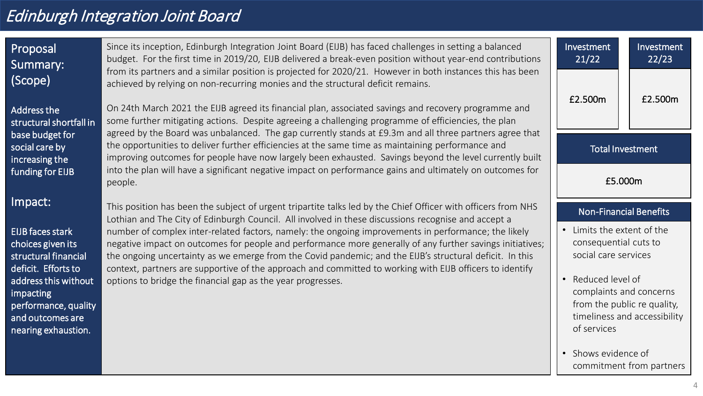# Edinburgh Integration Joint Board

| Proposal<br>Summary:                                                                                 | Since its inception, Edinburgh Integration Joint Board (EIJB) has faced challenges in setting a balanced<br>budget. For the first time in 2019/20, EIJB delivered a break-even position without year-end contributions                                                                                                                                                                                                                    | Investment<br>21/22                                                       | Investment<br>22/23                                                                                          |
|------------------------------------------------------------------------------------------------------|-------------------------------------------------------------------------------------------------------------------------------------------------------------------------------------------------------------------------------------------------------------------------------------------------------------------------------------------------------------------------------------------------------------------------------------------|---------------------------------------------------------------------------|--------------------------------------------------------------------------------------------------------------|
| (Scope)<br>Address the<br>structural shortfall in                                                    | from its partners and a similar position is projected for 2020/21. However in both instances this has been<br>achieved by relying on non-recurring monies and the structural deficit remains.<br>On 24th March 2021 the EIJB agreed its financial plan, associated savings and recovery programme and<br>some further mitigating actions. Despite agreeing a challenging programme of efficiencies, the plan                              | £2.500m                                                                   | £2.500m                                                                                                      |
| base budget for<br>social care by<br>increasing the                                                  | agreed by the Board was unbalanced. The gap currently stands at £9.3m and all three partners agree that<br>the opportunities to deliver further efficiencies at the same time as maintaining performance and<br>improving outcomes for people have now largely been exhausted. Savings beyond the level currently built                                                                                                                   |                                                                           | Total Investment                                                                                             |
| funding for EIJB                                                                                     | into the plan will have a significant negative impact on performance gains and ultimately on outcomes for<br>people.                                                                                                                                                                                                                                                                                                                      | £5.000m                                                                   |                                                                                                              |
| Impact:                                                                                              | This position has been the subject of urgent tripartite talks led by the Chief Officer with officers from NHS<br>Lothian and The City of Edinburgh Council. All involved in these discussions recognise and accept a                                                                                                                                                                                                                      | <b>Non-Financial Benefits</b>                                             |                                                                                                              |
| <b>EIJB</b> faces stark<br>choices given its<br>structural financial<br>deficit. Efforts to          | number of complex inter-related factors, namely: the ongoing improvements in performance; the likely<br>negative impact on outcomes for people and performance more generally of any further savings initiatives;<br>the ongoing uncertainty as we emerge from the Covid pandemic; and the EIJB's structural deficit. In this<br>context, partners are supportive of the approach and committed to working with EIJB officers to identify | Limits the extent of the<br>consequential cuts to<br>social care services |                                                                                                              |
| address this without<br>impacting<br>performance, quality<br>and outcomes are<br>nearing exhaustion. | options to bridge the financial gap as the year progresses.                                                                                                                                                                                                                                                                                                                                                                               |                                                                           | • Reduced level of<br>complaints and concerns<br>from the public re quality,<br>timeliness and accessibility |
|                                                                                                      |                                                                                                                                                                                                                                                                                                                                                                                                                                           | Shows evidence of                                                         | commitment from partners                                                                                     |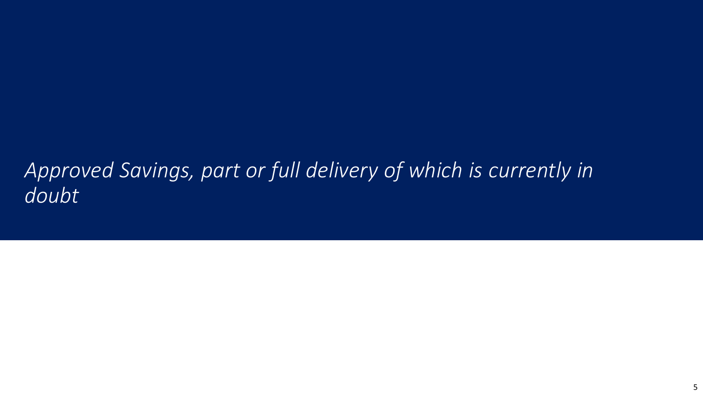# *Approved Savings, part or full delivery of which is currently in doubt*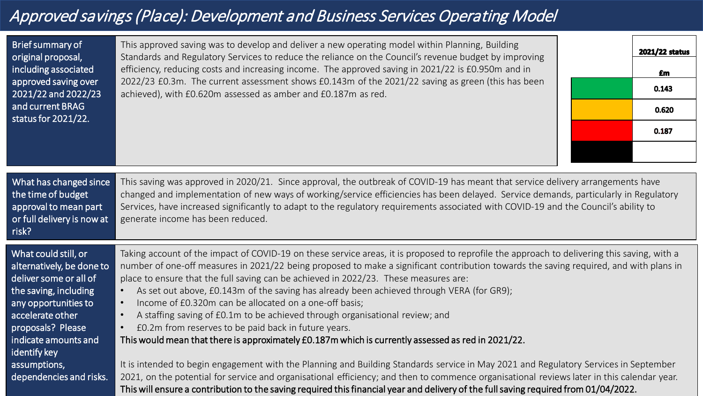# Approved savings (Place): Development and Business Services Operating Model

| Brief summary of<br>original proposal,<br>including associated<br>approved saving over<br>2021/22 and 2022/23<br>and current BRAG<br>status for 2021/22.                                                                                                 | This approved saving was to develop and deliver a new operating model within Planning, Building<br>Standards and Regulatory Services to reduce the reliance on the Council's revenue budget by improving<br>efficiency, reducing costs and increasing income. The approved saving in 2021/22 is £0.950m and in<br>2022/23 £0.3m. The current assessment shows £0.143m of the 2021/22 saving as green (this has been<br>achieved), with £0.620m assessed as amber and £0.187m as red.                                                                                                                                                                                                                                                                                                                                                                                                                                                                                                                                                                                                                                                                                                                                                       | 2021/22 status<br>£m<br>0.143<br>0.620<br>0.187 |
|----------------------------------------------------------------------------------------------------------------------------------------------------------------------------------------------------------------------------------------------------------|--------------------------------------------------------------------------------------------------------------------------------------------------------------------------------------------------------------------------------------------------------------------------------------------------------------------------------------------------------------------------------------------------------------------------------------------------------------------------------------------------------------------------------------------------------------------------------------------------------------------------------------------------------------------------------------------------------------------------------------------------------------------------------------------------------------------------------------------------------------------------------------------------------------------------------------------------------------------------------------------------------------------------------------------------------------------------------------------------------------------------------------------------------------------------------------------------------------------------------------------|-------------------------------------------------|
| What has changed since<br>the time of budget<br>approval to mean part<br>or full delivery is now at<br>risk?                                                                                                                                             | This saving was approved in 2020/21. Since approval, the outbreak of COVID-19 has meant that service delivery arrangements have<br>changed and implementation of new ways of working/service efficiencies has been delayed. Service demands, particularly in Regulatory<br>Services, have increased significantly to adapt to the regulatory requirements associated with COVID-19 and the Council's ability to<br>generate income has been reduced.                                                                                                                                                                                                                                                                                                                                                                                                                                                                                                                                                                                                                                                                                                                                                                                       |                                                 |
| What could still, or<br>alternatively, be done to<br>deliver some or all of<br>the saving, including<br>any opportunities to<br>accelerate other<br>proposals? Please<br>indicate amounts and<br>identify key<br>assumptions,<br>dependencies and risks. | Taking account of the impact of COVID-19 on these service areas, it is proposed to reprofile the approach to delivering this saving, with a<br>number of one-off measures in 2021/22 being proposed to make a significant contribution towards the saving required, and with plans in<br>place to ensure that the full saving can be achieved in 2022/23. These measures are:<br>As set out above, £0.143m of the saving has already been achieved through VERA (for GR9);<br>Income of £0.320m can be allocated on a one-off basis;<br>$\bullet$<br>A staffing saving of £0.1m to be achieved through organisational review; and<br>$\bullet$<br>£0.2m from reserves to be paid back in future years.<br>This would mean that there is approximately £0.187m which is currently assessed as red in 2021/22.<br>It is intended to begin engagement with the Planning and Building Standards service in May 2021 and Regulatory Services in September<br>2021, on the potential for service and organisational efficiency; and then to commence organisational reviews later in this calendar year.<br>This will ensure a contribution to the saving required this financial year and delivery of the full saving required from 01/04/2022. |                                                 |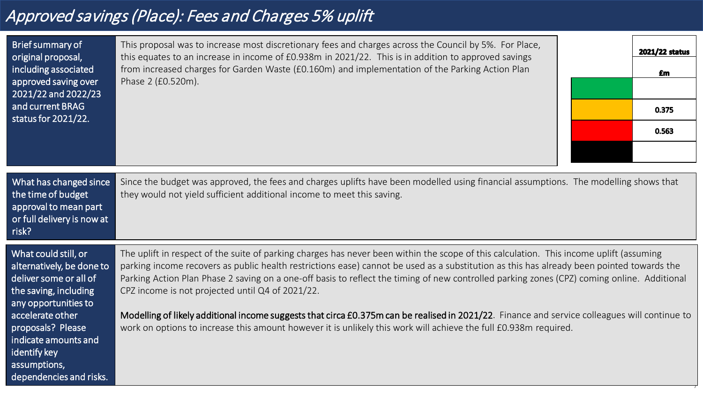# Approved savings (Place): Fees and Charges 5% uplift

| Brief summary of<br>original proposal,<br>including associated<br>approved saving over<br>2021/22 and 2022/23<br>and current BRAG<br>status for 2021/22.                                                                                                 | This proposal was to increase most discretionary fees and charges across the Council by 5%. For Place,<br>this equates to an increase in income of £0.938m in 2021/22. This is in addition to approved savings<br>from increased charges for Garden Waste (£0.160m) and implementation of the Parking Action Plan<br>Phase 2 (£0.520m).                                                                                                                                                                                                                                                                                                                                                                                                                      | 2021/22 status<br>£m<br>0.375<br>0.563 |
|----------------------------------------------------------------------------------------------------------------------------------------------------------------------------------------------------------------------------------------------------------|--------------------------------------------------------------------------------------------------------------------------------------------------------------------------------------------------------------------------------------------------------------------------------------------------------------------------------------------------------------------------------------------------------------------------------------------------------------------------------------------------------------------------------------------------------------------------------------------------------------------------------------------------------------------------------------------------------------------------------------------------------------|----------------------------------------|
| What has changed since<br>the time of budget<br>approval to mean part<br>or full delivery is now at<br>risk?                                                                                                                                             | Since the budget was approved, the fees and charges uplifts have been modelled using financial assumptions. The modelling shows that<br>they would not yield sufficient additional income to meet this saving.                                                                                                                                                                                                                                                                                                                                                                                                                                                                                                                                               |                                        |
| What could still, or<br>alternatively, be done to<br>deliver some or all of<br>the saving, including<br>any opportunities to<br>accelerate other<br>proposals? Please<br>indicate amounts and<br>identify key<br>assumptions,<br>dependencies and risks. | The uplift in respect of the suite of parking charges has never been within the scope of this calculation. This income uplift (assuming<br>parking income recovers as public health restrictions ease) cannot be used as a substitution as this has already been pointed towards the<br>Parking Action Plan Phase 2 saving on a one-off basis to reflect the timing of new controlled parking zones (CPZ) coming online. Additional<br>CPZ income is not projected until Q4 of 2021/22.<br>Modelling of likely additional income suggests that circa £0.375m can be realised in 2021/22. Finance and service colleagues will continue to<br>work on options to increase this amount however it is unlikely this work will achieve the full £0.938m required. |                                        |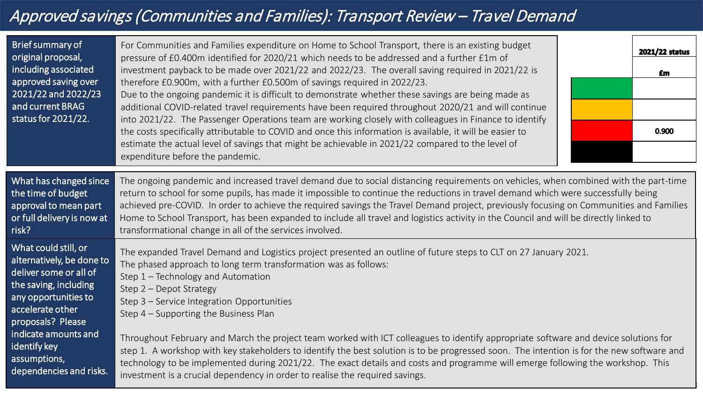# Approved savings (Communities and Families): Transport Review – Travel Demand

| Brief summary of<br>original proposal,<br>including associated<br>approved saving over<br>2021/22 and 2022/23<br>and current BRAG<br>status for 2021/22.                                                                                                 | For Communities and Families expenditure on Home to School Transport, there is an existing budget<br>pressure of £0.400m identified for 2020/21 which needs to be addressed and a further £1m of<br>investment payback to be made over 2021/22 and 2022/23. The overall saving required in 2021/22 is<br>therefore £0.900m, with a further £0.500m of savings required in 2022/23.<br>Due to the ongoing pandemic it is difficult to demonstrate whether these savings are being made as<br>additional COVID-related travel requirements have been required throughout 2020/21 and will continue<br>into 2021/22. The Passenger Operations team are working closely with colleagues in Finance to identify<br>the costs specifically attributable to COVID and once this information is available, it will be easier to<br>estimate the actual level of savings that might be achievable in 2021/22 compared to the level of<br>expenditure before the pandemic. | 2021/22 status<br>£m<br>0.900 |
|----------------------------------------------------------------------------------------------------------------------------------------------------------------------------------------------------------------------------------------------------------|------------------------------------------------------------------------------------------------------------------------------------------------------------------------------------------------------------------------------------------------------------------------------------------------------------------------------------------------------------------------------------------------------------------------------------------------------------------------------------------------------------------------------------------------------------------------------------------------------------------------------------------------------------------------------------------------------------------------------------------------------------------------------------------------------------------------------------------------------------------------------------------------------------------------------------------------------------------|-------------------------------|
| What has changed since<br>the time of budget<br>approval to mean part<br>or full delivery is now at<br>risk?                                                                                                                                             | The ongoing pandemic and increased travel demand due to social distancing requirements on vehicles, when combined with the part-time<br>return to school for some pupils, has made it impossible to continue the reductions in travel demand which were successfully being<br>achieved pre-COVID. In order to achieve the required savings the Travel Demand project, previously focusing on Communities and Families<br>Home to School Transport, has been expanded to include all travel and logistics activity in the Council and will be directly linked to<br>transformational change in all of the services involved.                                                                                                                                                                                                                                                                                                                                      |                               |
| What could still, or<br>alternatively, be done to<br>deliver some or all of<br>the saving, including<br>any opportunities to<br>accelerate other<br>proposals? Please<br>indicate amounts and<br>identify key<br>assumptions,<br>dependencies and risks. | The expanded Travel Demand and Logistics project presented an outline of future steps to CLT on 27 January 2021.<br>The phased approach to long term transformation was as follows:<br>Step 1 - Technology and Automation<br>Step 2 - Depot Strategy<br>Step 3 - Service Integration Opportunities<br>Step 4 – Supporting the Business Plan<br>Throughout February and March the project team worked with ICT colleagues to identify appropriate software and device solutions for<br>step 1. A workshop with key stakeholders to identify the best solution is to be progressed soon. The intention is for the new software and<br>technology to be implemented during 2021/22. The exact details and costs and programme will emerge following the workshop. This<br>investment is a crucial dependency in order to realise the required savings.                                                                                                              |                               |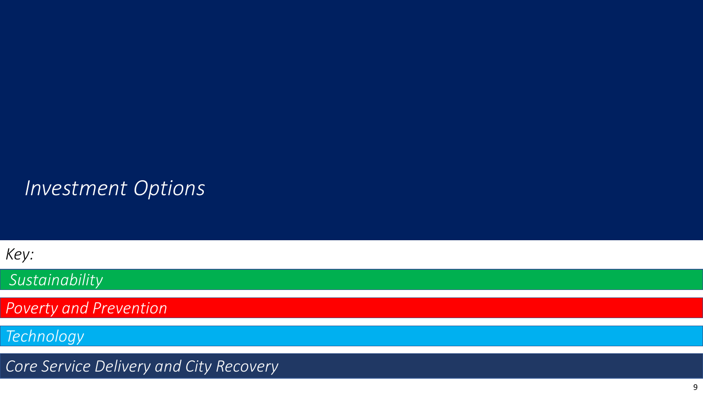# *Investment Options*

*Key:*

*Sustainability* 

*Poverty and Prevention* 

*Technology*

*Core Service Delivery and City Recovery*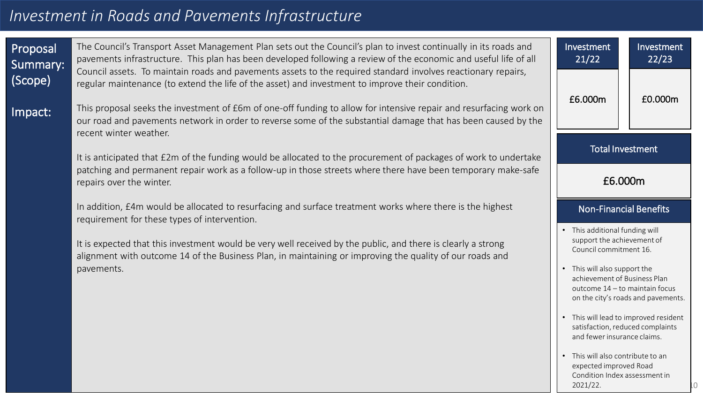# *Investment in Roads and Pavements Infrastructure*

| In

| Proposal<br>Summary:<br>(Scope) | The Council's Transport Asset Management Plan sets out the Council's plan to invest continually in its roads and<br>pavements infrastructure. This plan has been developed following a review of the economic and useful life of all<br>Council assets. To maintain roads and pavements assets to the required standard involves reactionary repairs,<br>regular maintenance (to extend the life of the asset) and investment to improve their condition. | Investment<br>21/22                                                                                                    | Investment<br>22/23                |
|---------------------------------|-----------------------------------------------------------------------------------------------------------------------------------------------------------------------------------------------------------------------------------------------------------------------------------------------------------------------------------------------------------------------------------------------------------------------------------------------------------|------------------------------------------------------------------------------------------------------------------------|------------------------------------|
| Impact:                         | This proposal seeks the investment of £6m of one-off funding to allow for intensive repair and resurfacing work on<br>our road and pavements network in order to reverse some of the substantial damage that has been caused by the<br>recent winter weather.                                                                                                                                                                                             | £6.000m                                                                                                                | £0.000m                            |
|                                 | It is anticipated that £2m of the funding would be allocated to the procurement of packages of work to undertake                                                                                                                                                                                                                                                                                                                                          | <b>Total Investment</b>                                                                                                |                                    |
|                                 | patching and permanent repair work as a follow-up in those streets where there have been temporary make-safe<br>repairs over the winter.                                                                                                                                                                                                                                                                                                                  | £6.000m                                                                                                                |                                    |
|                                 | In addition, £4m would be allocated to resurfacing and surface treatment works where there is the highest<br>requirement for these types of intervention.                                                                                                                                                                                                                                                                                                 | <b>Non-Financial Benefits</b>                                                                                          |                                    |
|                                 | It is expected that this investment would be very well received by the public, and there is clearly a strong<br>alignment with outcome 14 of the Business Plan, in maintaining or improving the quality of our roads and<br>pavements.                                                                                                                                                                                                                    | • This additional funding will<br>support the achievement of<br>Council commitment 16.<br>• This will also support the |                                    |
|                                 |                                                                                                                                                                                                                                                                                                                                                                                                                                                           | achievement of Business Plan<br>outcome 14 - to maintain focus                                                         | on the city's roads and pavements. |
|                                 |                                                                                                                                                                                                                                                                                                                                                                                                                                                           | • This will lead to improved resident<br>satisfaction, reduced complaints<br>and fewer insurance claims.               |                                    |
|                                 |                                                                                                                                                                                                                                                                                                                                                                                                                                                           | • This will also contribute to an<br>expected improved Road                                                            |                                    |

Condition Index assessment in

2021/22.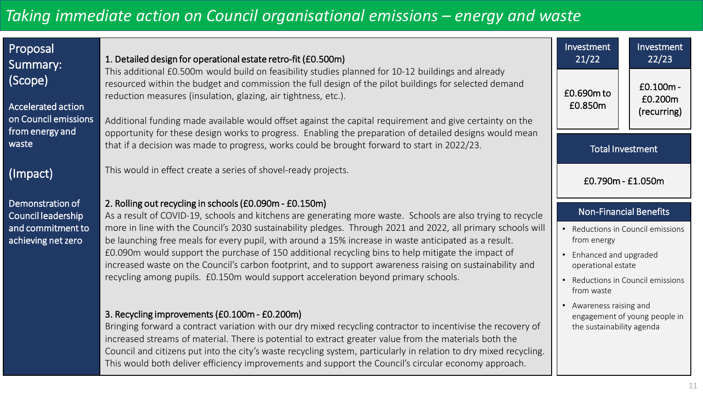| Proposal<br>Summary:<br>(Scope)<br><b>Accelerated action</b><br>on Council emissions<br>from energy and | 1. Detailed design for operational estate retro-fit (£0.500m)<br>This additional £0.500m would build on feasibility studies planned for 10-12 buildings and already<br>resourced within the budget and commission the full design of the pilot buildings for selected demand<br>reduction measures (insulation, glazing, air tightness, etc.).<br>Additional funding made available would offset against the capital requirement and give certainty on the                                                                                                                                                                                                                                               | Investment<br>21/22<br>£0.690m to<br>£0.850m                                                                                                                                          | Investment<br>22/23<br>$E0.100m -$<br>£0.200m<br>(recurring) |
|---------------------------------------------------------------------------------------------------------|----------------------------------------------------------------------------------------------------------------------------------------------------------------------------------------------------------------------------------------------------------------------------------------------------------------------------------------------------------------------------------------------------------------------------------------------------------------------------------------------------------------------------------------------------------------------------------------------------------------------------------------------------------------------------------------------------------|---------------------------------------------------------------------------------------------------------------------------------------------------------------------------------------|--------------------------------------------------------------|
| waste                                                                                                   | opportunity for these design works to progress. Enabling the preparation of detailed designs would mean<br>that if a decision was made to progress, works could be brought forward to start in 2022/23.                                                                                                                                                                                                                                                                                                                                                                                                                                                                                                  | <b>Total Investment</b>                                                                                                                                                               |                                                              |
| (Impact)                                                                                                | This would in effect create a series of shovel-ready projects.                                                                                                                                                                                                                                                                                                                                                                                                                                                                                                                                                                                                                                           | £0.790m - £1.050m                                                                                                                                                                     |                                                              |
| Demonstration of<br>Council leadership<br>and commitment to<br>achieving net zero                       | 2. Rolling out recycling in schools (£0.090m - £0.150m)<br>As a result of COVID-19, schools and kitchens are generating more waste. Schools are also trying to recycle<br>more in line with the Council's 2030 sustainability pledges. Through 2021 and 2022, all primary schools will<br>be launching free meals for every pupil, with around a 15% increase in waste anticipated as a result.<br>£0.090m would support the purchase of 150 additional recycling bins to help mitigate the impact of<br>increased waste on the Council's carbon footprint, and to support awareness raising on sustainability and<br>recycling among pupils. £0.150m would support acceleration beyond primary schools. | <b>Non-Financial Benefits</b><br>• Reductions in Council emissions<br>from energy<br>• Enhanced and upgraded<br>operational estate<br>• Reductions in Council emissions<br>from waste |                                                              |
|                                                                                                         | 3. Recycling improvements (£0.100m - £0.200m)<br>Bringing forward a contract variation with our dry mixed recycling contractor to incentivise the recovery of<br>increased streams of material. There is potential to extract greater value from the materials both the<br>Council and citizens put into the city's waste recycling system, particularly in relation to dry mixed recycling.<br>This would both deliver efficiency improvements and support the Council's circular economy approach.                                                                                                                                                                                                     | • Awareness raising and<br>the sustainability agenda                                                                                                                                  | engagement of young people in                                |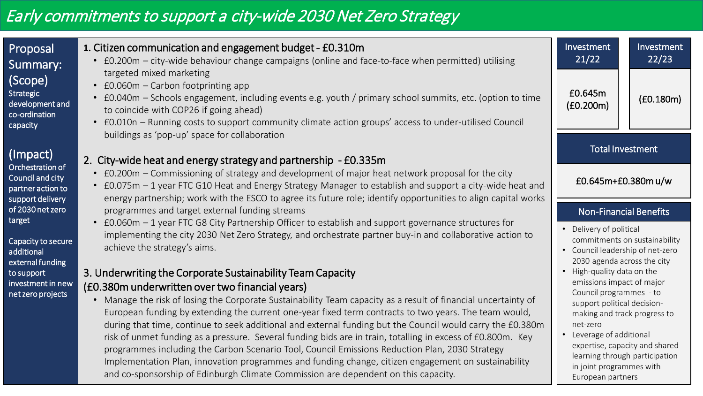# Early commitments to support a city-wide 2030 Net Zero Strategy

| Proposal<br>Summary:<br>(Scope)<br><b>Strategic</b><br>development and        | 1. Citizen communication and engagement budget - £0.310m<br>• £0.200m - city-wide behaviour change campaigns (online and face-to-face when permitted) utilising<br>targeted mixed marketing<br>• £0.060m - Carbon footprinting app<br>£0.040m – Schools engagement, including events e.g. youth / primary school summits, etc. (option to time<br>to coincide with COP26 if going ahead)                                                                                                                                                                                                                                                                                                                                                                                                                                                                             | Investment<br>21/22<br>£0.645m<br>(£0.200m)              | Investment<br>22/23<br>(£0.180m)                                                                                                                                                                                                                                                                                                  |
|-------------------------------------------------------------------------------|----------------------------------------------------------------------------------------------------------------------------------------------------------------------------------------------------------------------------------------------------------------------------------------------------------------------------------------------------------------------------------------------------------------------------------------------------------------------------------------------------------------------------------------------------------------------------------------------------------------------------------------------------------------------------------------------------------------------------------------------------------------------------------------------------------------------------------------------------------------------|----------------------------------------------------------|-----------------------------------------------------------------------------------------------------------------------------------------------------------------------------------------------------------------------------------------------------------------------------------------------------------------------------------|
| co-ordination<br>capacity<br>(Impact)                                         | • £0.010n - Running costs to support community climate action groups' access to under-utilised Council<br>buildings as 'pop-up' space for collaboration                                                                                                                                                                                                                                                                                                                                                                                                                                                                                                                                                                                                                                                                                                              | <b>Total Investment</b>                                  |                                                                                                                                                                                                                                                                                                                                   |
| Orchestration of<br>Council and city<br>partner action to<br>support delivery | 2. City-wide heat and energy strategy and partnership - £0.335m<br>• £0.200m – Commissioning of strategy and development of major heat network proposal for the city<br>• £0.075m - 1 year FTC G10 Heat and Energy Strategy Manager to establish and support a city-wide heat and<br>energy partnership; work with the ESCO to agree its future role; identify opportunities to align capital works                                                                                                                                                                                                                                                                                                                                                                                                                                                                  | £0.645m+£0.380m u/w                                      |                                                                                                                                                                                                                                                                                                                                   |
| of 2030 net zero<br>target                                                    | programmes and target external funding streams<br>• £0.060m – 1 year FTC G8 City Partnership Officer to establish and support governance structures for                                                                                                                                                                                                                                                                                                                                                                                                                                                                                                                                                                                                                                                                                                              | <b>Non-Financial Benefits</b><br>• Delivery of political |                                                                                                                                                                                                                                                                                                                                   |
| Capacity to secure<br>additional<br>external funding                          | implementing the city 2030 Net Zero Strategy, and orchestrate partner buy-in and collaborative action to<br>achieve the strategy's aims.                                                                                                                                                                                                                                                                                                                                                                                                                                                                                                                                                                                                                                                                                                                             | • Council leadership of net-zero                         | commitments on sustainability                                                                                                                                                                                                                                                                                                     |
| to support<br>investment in new<br>net zero projects                          | 3. Underwriting the Corporate Sustainability Team Capacity<br>(£0.380m underwritten over two financial years)<br>• Manage the risk of losing the Corporate Sustainability Team capacity as a result of financial uncertainty of<br>European funding by extending the current one-year fixed term contracts to two years. The team would,<br>during that time, continue to seek additional and external funding but the Council would carry the £0.380m<br>risk of unmet funding as a pressure. Several funding bids are in train, totalling in excess of £0.800m. Key<br>programmes including the Carbon Scenario Tool, Council Emissions Reduction Plan, 2030 Strategy<br>Implementation Plan, innovation programmes and funding change, citizen engagement on sustainability<br>and co-sponsorship of Edinburgh Climate Commission are dependent on this capacity. | net-zero                                                 | 2030 agenda across the city<br>• High-quality data on the<br>emissions impact of major<br>Council programmes - to<br>support political decision-<br>making and track progress to<br>• Leverage of additional<br>expertise, capacity and shared<br>learning through participation<br>in joint programmes with<br>European partners |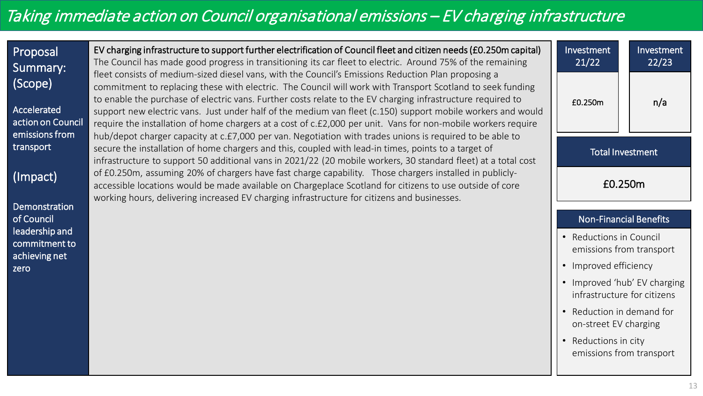# Taking immediate action on Council organisational emissions – EV charging infrastructure

| Proposal<br>Summary:                        | EV charging infrastructure to support further electrification of Council fleet and citizen needs (£0.250m capital)<br>The Council has made good progress in transitioning its car fleet to electric. Around 75% of the remaining                                                                                                                                                                                                                                                                                                                                 | Investment<br>21/22                                         | Investment<br>22/23 |
|---------------------------------------------|------------------------------------------------------------------------------------------------------------------------------------------------------------------------------------------------------------------------------------------------------------------------------------------------------------------------------------------------------------------------------------------------------------------------------------------------------------------------------------------------------------------------------------------------------------------|-------------------------------------------------------------|---------------------|
| (Scope)<br>Accelerated<br>action on Council | fleet consists of medium-sized diesel vans, with the Council's Emissions Reduction Plan proposing a<br>commitment to replacing these with electric. The Council will work with Transport Scotland to seek funding<br>to enable the purchase of electric vans. Further costs relate to the EV charging infrastructure required to<br>support new electric vans. Just under half of the medium van fleet (c.150) support mobile workers and would<br>require the installation of home chargers at a cost of c.£2,000 per unit. Vans for non-mobile workers require | £0.250m                                                     | n/a                 |
| emissions from<br>transport                 | hub/depot charger capacity at c.£7,000 per van. Negotiation with trades unions is required to be able to<br>secure the installation of home chargers and this, coupled with lead-in times, points to a target of                                                                                                                                                                                                                                                                                                                                                 | <b>Total Investment</b>                                     |                     |
| (Impact)                                    | infrastructure to support 50 additional vans in 2021/22 (20 mobile workers, 30 standard fleet) at a total cost<br>of £0.250m, assuming 20% of chargers have fast charge capability. Those chargers installed in publicly-<br>accessible locations would be made available on Chargeplace Scotland for citizens to use outside of core<br>working hours, delivering increased EV charging infrastructure for citizens and businesses.                                                                                                                             | £0.250m                                                     |                     |
| Demonstration<br>of Council                 |                                                                                                                                                                                                                                                                                                                                                                                                                                                                                                                                                                  | <b>Non-Financial Benefits</b>                               |                     |
| leadership and<br>commitment to             |                                                                                                                                                                                                                                                                                                                                                                                                                                                                                                                                                                  | • Reductions in Council<br>emissions from transport         |                     |
| achieving net<br>zero                       |                                                                                                                                                                                                                                                                                                                                                                                                                                                                                                                                                                  | Improved efficiency                                         |                     |
|                                             |                                                                                                                                                                                                                                                                                                                                                                                                                                                                                                                                                                  | • Improved 'hub' EV charging<br>infrastructure for citizens |                     |
|                                             |                                                                                                                                                                                                                                                                                                                                                                                                                                                                                                                                                                  | Reduction in demand for<br>on-street EV charging            |                     |
|                                             |                                                                                                                                                                                                                                                                                                                                                                                                                                                                                                                                                                  | Reductions in city<br>emissions from transport              |                     |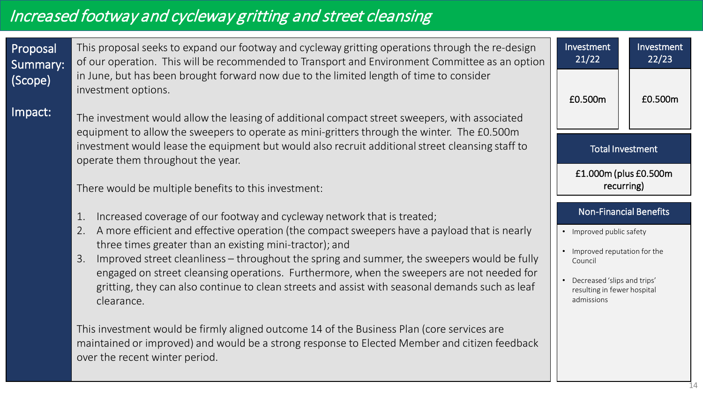# Increased footway and cycleway gritting and street cleansing

| Proposal<br>Summary:<br>(Scope)<br>Impact: | This proposal seeks to expand our footway and cycleway gritting operations through the re-design<br>of our operation. This will be recommended to Transport and Environment Committee as an option<br>in June, but has been brought forward now due to the limited length of time to consider<br>investment options.<br>The investment would allow the leasing of additional compact street sweepers, with associated<br>equipment to allow the sweepers to operate as mini-gritters through the winter. The £0.500m                                                 | Investment<br>21/22<br>£0.500m                                                                                                                   | Investment<br>22/23<br>£0.500m |
|--------------------------------------------|----------------------------------------------------------------------------------------------------------------------------------------------------------------------------------------------------------------------------------------------------------------------------------------------------------------------------------------------------------------------------------------------------------------------------------------------------------------------------------------------------------------------------------------------------------------------|--------------------------------------------------------------------------------------------------------------------------------------------------|--------------------------------|
|                                            | investment would lease the equipment but would also recruit additional street cleansing staff to<br>operate them throughout the year.                                                                                                                                                                                                                                                                                                                                                                                                                                |                                                                                                                                                  | <b>Total Investment</b>        |
|                                            | There would be multiple benefits to this investment:                                                                                                                                                                                                                                                                                                                                                                                                                                                                                                                 | £1.000m (plus £0.500m                                                                                                                            | recurring)                     |
|                                            | Increased coverage of our footway and cycleway network that is treated;<br>$1$ .<br>A more efficient and effective operation (the compact sweepers have a payload that is nearly<br>2.<br>three times greater than an existing mini-tractor); and<br>Improved street cleanliness – throughout the spring and summer, the sweepers would be fully<br>3.<br>engaged on street cleansing operations. Furthermore, when the sweepers are not needed for<br>gritting, they can also continue to clean streets and assist with seasonal demands such as leaf<br>clearance. | • Improved public safety<br>• Improved reputation for the<br>Council<br>Decreased 'slips and trips'<br>resulting in fewer hospital<br>admissions | <b>Non-Financial Benefits</b>  |
|                                            | This investment would be firmly aligned outcome 14 of the Business Plan (core services are<br>maintained or improved) and would be a strong response to Elected Member and citizen feedback<br>over the recent winter period.                                                                                                                                                                                                                                                                                                                                        |                                                                                                                                                  |                                |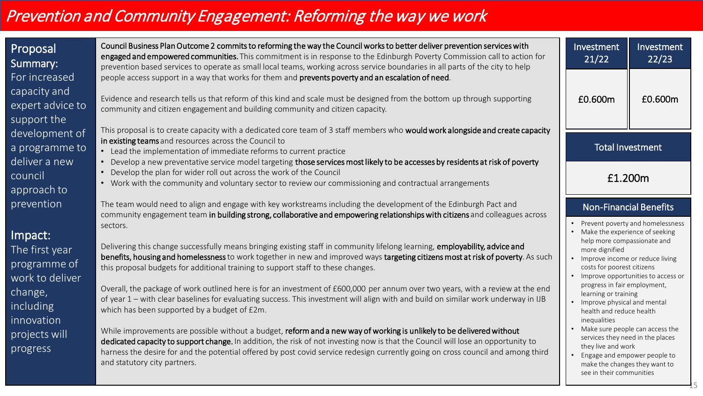# Prevention and Community Engagement: Reforming the way we work

| <b>Proposal</b><br>Summary:                     | Council Business Plan Outcome 2 commits to reforming the way the Council works to better deliver prevention services with<br>engaged and empowered communities. This commitment is in response to the Edinburgh Poverty Commission call to action for<br>prevention based services to operate as small local teams, working across service boundaries in all parts of the city to help        | Investment<br>21/22                                                                    | Investment<br>22/23                |
|-------------------------------------------------|-----------------------------------------------------------------------------------------------------------------------------------------------------------------------------------------------------------------------------------------------------------------------------------------------------------------------------------------------------------------------------------------------|----------------------------------------------------------------------------------------|------------------------------------|
| For increased                                   | people access support in a way that works for them and prevents poverty and an escalation of need.                                                                                                                                                                                                                                                                                            |                                                                                        |                                    |
| capacity and<br>expert advice to<br>support the | Evidence and research tells us that reform of this kind and scale must be designed from the bottom up through supporting<br>community and citizen engagement and building community and citizen capacity.                                                                                                                                                                                     | £0.600m                                                                                | £0.600m                            |
| development of                                  | This proposal is to create capacity with a dedicated core team of 3 staff members who would work alongside and create capacity                                                                                                                                                                                                                                                                |                                                                                        |                                    |
| a programme to                                  | in existing teams and resources across the Council to                                                                                                                                                                                                                                                                                                                                         | <b>Total Investment</b>                                                                |                                    |
| deliver a new                                   | • Lead the implementation of immediate reforms to current practice<br>• Develop a new preventative service model targeting those services most likely to be accesses by residents at risk of poverty                                                                                                                                                                                          |                                                                                        |                                    |
|                                                 | • Develop the plan for wider roll out across the work of the Council                                                                                                                                                                                                                                                                                                                          |                                                                                        |                                    |
| council<br>approach to                          | • Work with the community and voluntary sector to review our commissioning and contractual arrangements                                                                                                                                                                                                                                                                                       | £1.200m                                                                                |                                    |
| prevention                                      | The team would need to align and engage with key workstreams including the development of the Edinburgh Pact and<br>community engagement team in building strong, collaborative and empowering relationships with citizens and colleagues across                                                                                                                                              | <b>Non-Financial Benefits</b>                                                          |                                    |
|                                                 | sectors.                                                                                                                                                                                                                                                                                                                                                                                      |                                                                                        | Prevent poverty and homelessness   |
| Impact:                                         |                                                                                                                                                                                                                                                                                                                                                                                               | Make the experience of seeking<br>help more compassionate and                          |                                    |
| The first year                                  | Delivering this change successfully means bringing existing staff in community lifelong learning, employability, advice and<br>benefits, housing and homelessness to work together in new and improved ways targeting citizens most at risk of poverty. As such                                                                                                                               | more dignified                                                                         |                                    |
| programme of                                    | this proposal budgets for additional training to support staff to these changes.                                                                                                                                                                                                                                                                                                              | Improve income or reduce living<br>costs for poorest citizens                          |                                    |
| work to deliver                                 |                                                                                                                                                                                                                                                                                                                                                                                               |                                                                                        | Improve opportunities to access or |
| change,                                         | Overall, the package of work outlined here is for an investment of £600,000 per annum over two years, with a review at the end                                                                                                                                                                                                                                                                | progress in fair employment,<br>learning or training                                   |                                    |
| including                                       | of year 1 – with clear baselines for evaluating success. This investment will align with and build on similar work underway in IJB<br>which has been supported by a budget of £2m.                                                                                                                                                                                                            | Improve physical and mental                                                            |                                    |
| innovation                                      |                                                                                                                                                                                                                                                                                                                                                                                               | health and reduce health<br>inequalities                                               |                                    |
| projects will<br>progress                       | While improvements are possible without a budget, reform and a new way of working is unlikely to be delivered without<br>dedicated capacity to support change. In addition, the risk of not investing now is that the Council will lose an opportunity to<br>harness the desire for and the potential offered by post covid service redesign currently going on cross council and among third | services they need in the places<br>they live and work<br>Engage and empower people to | Make sure people can access the    |
|                                                 | and statutory city partners.                                                                                                                                                                                                                                                                                                                                                                  | make the changes they want to<br>see in their communities                              |                                    |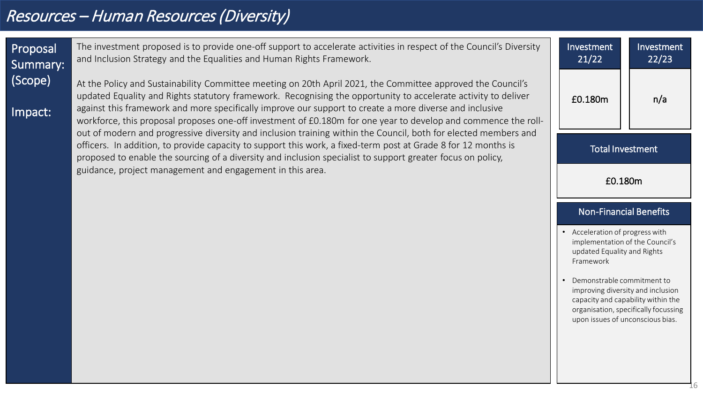# Resources – Human Resources (Diversity)

Proposal Summary: (Scope)

Impact:

The investment proposed is to provide one-off support to accelerate activities in respect of the Council's Diversity and Inclusion Strategy and the Equalities and Human Rights Framework.

At the Policy and Sustainability Committee meeting on 20th April 2021, the Committee approved the Council's updated Equality and Rights statutory framework. Recognising the opportunity to accelerate activity to deliver against this framework and more specifically improve our support to create a more diverse and inclusive workforce, this proposal proposes one-off investment of £0.180m for one year to develop and commence the rollout of modern and progressive diversity and inclusion training within the Council, both for elected members and officers. In addition, to provide capacity to support this work, a fixed-term post at Grade 8 for 12 months is proposed to enable the sourcing of a diversity and inclusion specialist to support greater focus on policy, guidance, project management and engagement in this area.

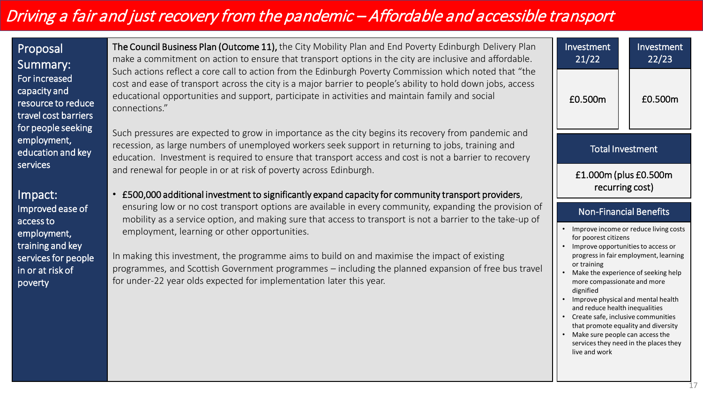# Driving a fair and just recovery from the pandemic – Affordable and accessible transport

Proposal Summary: For increased capacity and resource to reduce travel cost barriers for people seeking employment, education and key services

Impact: Improved ease of access to employment, training and key services for people in or at risk of poverty

The Council Business Plan (Outcome 11), the City Mobility Plan and End Poverty Edinburgh Delivery Plan make a commitment on action to ensure that transport options in the city are inclusive and affordable. Such actions reflect a core call to action from the Edinburgh Poverty Commission which noted that "the cost and ease of transport across the city is a major barrier to people's ability to hold down jobs, access educational opportunities and support, participate in activities and maintain family and social connections."

Such pressures are expected to grow in importance as the city begins its recovery from pandemic and recession, as large numbers of unemployed workers seek support in returning to jobs, training and education. Investment is required to ensure that transport access and cost is not a barrier to recovery and renewal for people in or at risk of poverty across Edinburgh.

• £500,000 additional investment to significantly expand capacity for community transport providers, ensuring low or no cost transport options are available in every community, expanding the provision of mobility as a service option, and making sure that access to transport is not a barrier to the take-up of employment, learning or other opportunities.

In making this investment, the programme aims to build on and maximise the impact of existing programmes, and Scottish Government programmes – including the planned expansion of free bus travel for under-22 year olds expected for implementation later this year.

| Investment<br>21/22                                                                                                                                                                                                                            | Investment<br>22/23     |  |
|------------------------------------------------------------------------------------------------------------------------------------------------------------------------------------------------------------------------------------------------|-------------------------|--|
| £0.500m                                                                                                                                                                                                                                        | £0.500m                 |  |
|                                                                                                                                                                                                                                                | <b>Total Investment</b> |  |
| £1.000m (plus £0.500m<br>recurring cost)                                                                                                                                                                                                       |                         |  |
| <b>Non-Financial Benefits</b>                                                                                                                                                                                                                  |                         |  |
| Improve income or reduce living costs<br>for poorest citizens<br>Improve opportunities to access or<br>progress in fair employment, learning<br>or training<br>Make the experience of seeking help<br>more compassionate and more<br>dignified |                         |  |
|                                                                                                                                                                                                                                                |                         |  |

- Create safe, inclusive communities that promote equality and diversity
- Make sure people can access the services they need in the places they live and work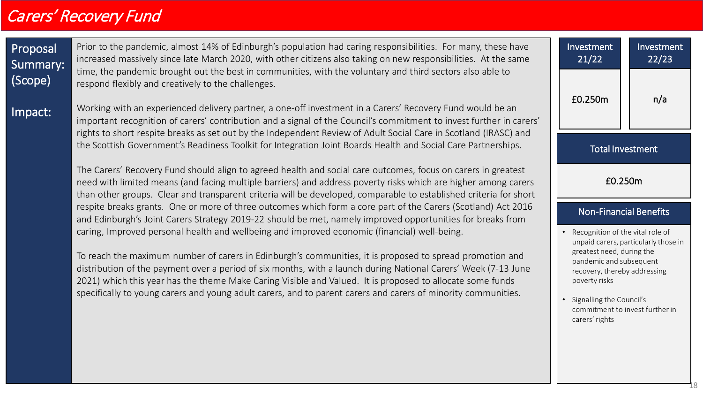## Carers' Recovery Fund

Proposal Summary: (Scope) Impact: Prior to the pandemic, almost 14% of Edinburgh's population had caring responsibilities. For many, these have increased massively since late March 2020, with other citizens also taking on new responsibilities. At the same time, the pandemic brought out the best in communities, with the voluntary and third sectors also able to respond flexibly and creatively to the challenges. Working with an experienced delivery partner, a one-off investment in a Carers' Recovery Fund would be an important recognition of carers' contribution and a signal of the Council's commitment to invest further in carers' rights to short respite breaks as set out by the Independent Review of Adult Social Care in Scotland (IRASC) and the Scottish Government's Readiness Toolkit for Integration Joint Boards Health and Social Care Partnerships. The Carers' Recovery Fund should align to agreed health and social care outcomes, focus on carers in greatest need with limited means (and facing multiple barriers) and address poverty risks which are higher among carers than other groups. Clear and transparent criteria will be developed, comparable to established criteria for short respite breaks grants. One or more of three outcomes which form a core part of the Carers (Scotland) Act 2016 and Edinburgh's Joint Carers Strategy 2019-22 should be met, namely improved opportunities for breaks from caring, Improved personal health and wellbeing and improved economic (financial) well-being. To reach the maximum number of carers in Edinburgh's communities, it is proposed to spread promotion and distribution of the payment over a period of six months, with a launch during National Carers' Week (7-13 June 2021) which this year has the theme Make Caring Visible and Valued. It is proposed to allocate some funds specifically to young carers and young adult carers, and to parent carers and carers of minority communities. Non-Financial Benefits • Recognition of the vital role of unpaid carers, particularly those in greatest need, during the pandemic and subsequent recovery, thereby addressing poverty risks • Signalling the Council's commitment to invest further in carers' rights Investment 21/22 £0.250m Investment 22/23 n/a Total Investment £0.250m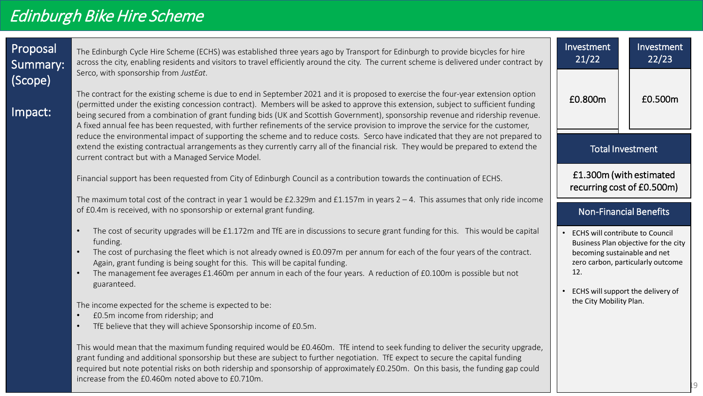| Proposal<br>Summary: | The Edinburgh Cycle Hire Scheme (ECHS) was established three years ago by Transport for Edinburgh to provide bicycles for hire<br>across the city, enabling residents and visitors to travel efficiently around the city. The current scheme is delivered under contract by                                                                                                                                                                                                                                                                                                               | Investment<br>21/22                                                           | Investment<br>22/23                                                                                            |
|----------------------|-------------------------------------------------------------------------------------------------------------------------------------------------------------------------------------------------------------------------------------------------------------------------------------------------------------------------------------------------------------------------------------------------------------------------------------------------------------------------------------------------------------------------------------------------------------------------------------------|-------------------------------------------------------------------------------|----------------------------------------------------------------------------------------------------------------|
| (Scope)<br>Impact:   | Serco, with sponsorship from JustEat.<br>The contract for the existing scheme is due to end in September 2021 and it is proposed to exercise the four-year extension option<br>(permitted under the existing concession contract). Members will be asked to approve this extension, subject to sufficient funding<br>being secured from a combination of grant funding bids (UK and Scottish Government), sponsorship revenue and ridership revenue.<br>A fixed annual fee has been requested, with further refinements of the service provision to improve the service for the customer, | £0.800m                                                                       | £0.500m                                                                                                        |
|                      | reduce the environmental impact of supporting the scheme and to reduce costs. Serco have indicated that they are not prepared to<br>extend the existing contractual arrangements as they currently carry all of the financial risk. They would be prepared to extend the<br>current contract but with a Managed Service Model.                                                                                                                                                                                                                                                            |                                                                               | <b>Total Investment</b>                                                                                        |
|                      | Financial support has been requested from City of Edinburgh Council as a contribution towards the continuation of ECHS.                                                                                                                                                                                                                                                                                                                                                                                                                                                                   |                                                                               | £1.300m (with estimated<br>recurring cost of £0.500m)                                                          |
|                      | The maximum total cost of the contract in year 1 would be £2.329m and £1.157m in years $2 - 4$ . This assumes that only ride income<br>of £0.4m is received, with no sponsorship or external grant funding.                                                                                                                                                                                                                                                                                                                                                                               |                                                                               | <b>Non-Financial Benefits</b>                                                                                  |
|                      | The cost of security upgrades will be £1.172m and TfE are in discussions to secure grant funding for this. This would be capital<br>funding.<br>The cost of purchasing the fleet which is not already owned is £0.097m per annum for each of the four years of the contract.<br>Again, grant funding is being sought for this. This will be capital funding.<br>The management fee averages £1.460m per annum in each of the four years. A reduction of £0.100m is possible but not<br>guaranteed.                                                                                        | <b>ECHS will contribute to Council</b><br>becoming sustainable and net<br>12. | Business Plan objective for the city<br>zero carbon, particularly outcome<br>ECHS will support the delivery of |
|                      | The income expected for the scheme is expected to be:<br>£0.5m income from ridership; and<br>TfE believe that they will achieve Sponsorship income of £0.5m.                                                                                                                                                                                                                                                                                                                                                                                                                              | the City Mobility Plan.                                                       |                                                                                                                |

This would mean that the maximum funding required would be £0.460m. TfE intend to seek funding to deliver the security upgrade, grant funding and additional sponsorship but these are subject to further negotiation. TfE expect to secure the capital funding required but note potential risks on both ridership and sponsorship of approximately £0.250m. On this basis, the funding gap could increase from the £0.460m noted above to £0.710m.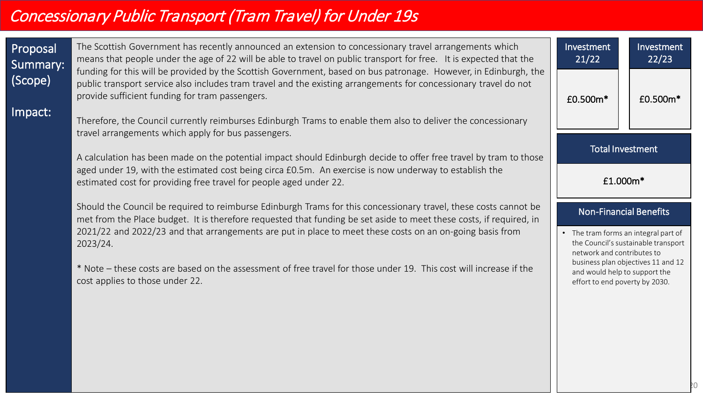# Concessionary Public Transport (Tram Travel) for Under 19s

| Proposal<br>Summary:<br>(Scope)<br>Impact: | The Scottish Government has recently announced an extension to concessionary travel arrangements which<br>means that people under the age of 22 will be able to travel on public transport for free. It is expected that the<br>funding for this will be provided by the Scottish Government, based on bus patronage. However, in Edinburgh, the<br>public transport service also includes tram travel and the existing arrangements for concessionary travel do not<br>provide sufficient funding for tram passengers.<br>Therefore, the Council currently reimburses Edinburgh Trams to enable them also to deliver the concessionary | Investment<br>21/22<br>£0.500m*                                                                     | Investment<br>22/23<br>£0.500m*     |
|--------------------------------------------|-----------------------------------------------------------------------------------------------------------------------------------------------------------------------------------------------------------------------------------------------------------------------------------------------------------------------------------------------------------------------------------------------------------------------------------------------------------------------------------------------------------------------------------------------------------------------------------------------------------------------------------------|-----------------------------------------------------------------------------------------------------|-------------------------------------|
|                                            | travel arrangements which apply for bus passengers.<br>A calculation has been made on the potential impact should Edinburgh decide to offer free travel by tram to those                                                                                                                                                                                                                                                                                                                                                                                                                                                                | <b>Total Investment</b>                                                                             |                                     |
|                                            | aged under 19, with the estimated cost being circa £0.5m. An exercise is now underway to establish the<br>estimated cost for providing free travel for people aged under 22.<br>Should the Council be required to reimburse Edinburgh Trams for this concessionary travel, these costs cannot be                                                                                                                                                                                                                                                                                                                                        | £1.000m*                                                                                            |                                     |
|                                            | met from the Place budget. It is therefore requested that funding be set aside to meet these costs, if required, in<br>2021/22 and 2022/23 and that arrangements are put in place to meet these costs on an on-going basis from<br>2023/24.                                                                                                                                                                                                                                                                                                                                                                                             | <b>Non-Financial Benefits</b><br>• The tram forms an integral part of<br>network and contributes to | the Council's sustainable transport |
|                                            | * Note – these costs are based on the assessment of free travel for those under 19. This cost will increase if the<br>cost applies to those under 22.                                                                                                                                                                                                                                                                                                                                                                                                                                                                                   | and would help to support the<br>effort to end poverty by 2030.                                     | business plan objectives 11 and 12  |
|                                            |                                                                                                                                                                                                                                                                                                                                                                                                                                                                                                                                                                                                                                         |                                                                                                     |                                     |
|                                            |                                                                                                                                                                                                                                                                                                                                                                                                                                                                                                                                                                                                                                         |                                                                                                     |                                     |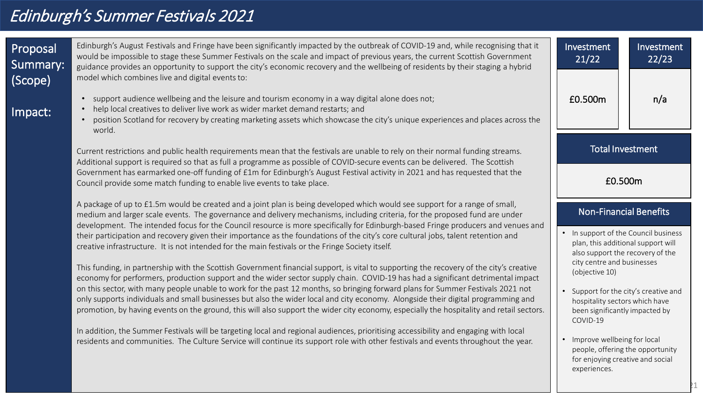# Edinburgh's Summer Festivals 2021

| Proposal<br>Summary:<br>(Scope) | Edinburgh's August Festivals and Fringe have been significantly impacted by the outbreak of COVID-19 and, while recognising that it<br>would be impossible to stage these Summer Festivals on the scale and impact of previous years, the current Scottish Government<br>guidance provides an opportunity to support the city's economic recovery and the wellbeing of residents by their staging a hybrid<br>model which combines live and digital events to: | Investment<br>21/22                                                                                                   | Investment<br>22/23 |
|---------------------------------|----------------------------------------------------------------------------------------------------------------------------------------------------------------------------------------------------------------------------------------------------------------------------------------------------------------------------------------------------------------------------------------------------------------------------------------------------------------|-----------------------------------------------------------------------------------------------------------------------|---------------------|
| Impact:                         | support audience wellbeing and the leisure and tourism economy in a way digital alone does not;<br>help local creatives to deliver live work as wider market demand restarts; and<br>$\bullet$<br>position Scotland for recovery by creating marketing assets which showcase the city's unique experiences and places across the<br>world.                                                                                                                     | £0.500m                                                                                                               | n/a                 |
|                                 | Current restrictions and public health requirements mean that the festivals are unable to rely on their normal funding streams.<br>Additional support is required so that as full a programme as possible of COVID-secure events can be delivered. The Scottish                                                                                                                                                                                                | <b>Total Investment</b>                                                                                               |                     |
|                                 | Government has earmarked one-off funding of £1m for Edinburgh's August Festival activity in 2021 and has requested that the<br>Council provide some match funding to enable live events to take place.                                                                                                                                                                                                                                                         | £0.500m                                                                                                               |                     |
|                                 | A package of up to £1.5m would be created and a joint plan is being developed which would see support for a range of small,<br>medium and larger scale events. The governance and delivery mechanisms, including criteria, for the proposed fund are under<br>development. The intended focus for the Council resource is more specifically for Edinburgh-based Fringe producers and venues and                                                                | <b>Non-Financial Benefits</b>                                                                                         |                     |
|                                 | their participation and recovery given their importance as the foundations of the city's core cultural jobs, talent retention and<br>creative infrastructure. It is not intended for the main festivals or the Fringe Society itself.                                                                                                                                                                                                                          | • In support of the Council business<br>plan, this additional support will<br>also support the recovery of the        |                     |
|                                 | This funding, in partnership with the Scottish Government financial support, is vital to supporting the recovery of the city's creative<br>economy for performers, production support and the wider sector supply chain. COVID-19 has had a significant detrimental impact                                                                                                                                                                                     | city centre and businesses<br>(objective 10)                                                                          |                     |
|                                 | on this sector, with many people unable to work for the past 12 months, so bringing forward plans for Summer Festivals 2021 not<br>only supports individuals and small businesses but also the wider local and city economy. Alongside their digital programming and<br>promotion, by having events on the ground, this will also support the wider city economy, especially the hospitality and retail sectors.                                               | Support for the city's creative and<br>hospitality sectors which have<br>been significantly impacted by<br>COVID-19   |                     |
|                                 | In addition, the Summer Festivals will be targeting local and regional audiences, prioritising accessibility and engaging with local<br>residents and communities. The Culture Service will continue its support role with other festivals and events throughout the year.                                                                                                                                                                                     | • Improve wellbeing for local<br>people, offering the opportunity<br>for enjoying creative and social<br>experiences. |                     |